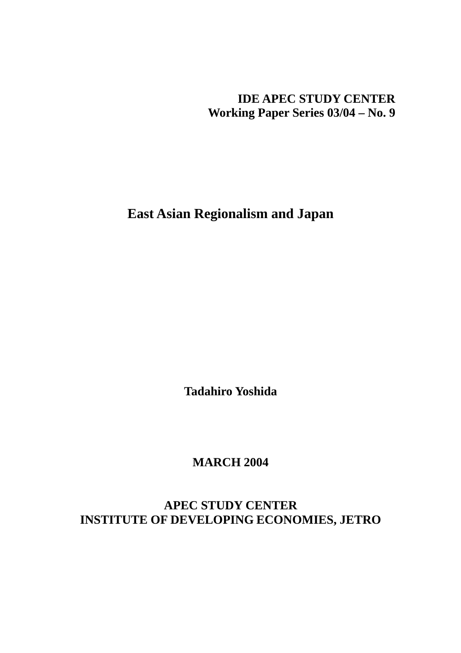**IDE APEC STUDY CENTER Working Paper Series 03/04 – No. 9** 

**East Asian Regionalism and Japan** 

**Tadahiro Yoshida** 

**MARCH 2004** 

**APEC STUDY CENTER INSTITUTE OF DEVELOPING ECONOMIES, JETRO**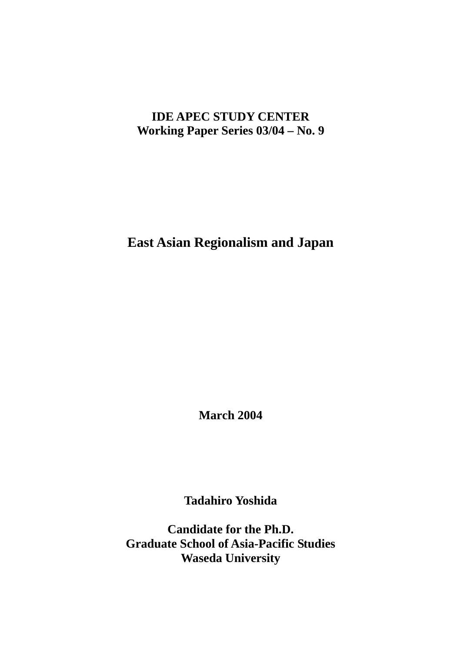# **IDE APEC STUDY CENTER Working Paper Series 03/04 – No. 9**

**East Asian Regionalism and Japan** 

**March 2004** 

**Tadahiro Yoshida** 

**Candidate for the Ph.D. Graduate School of Asia-Pacific Studies Waseda University**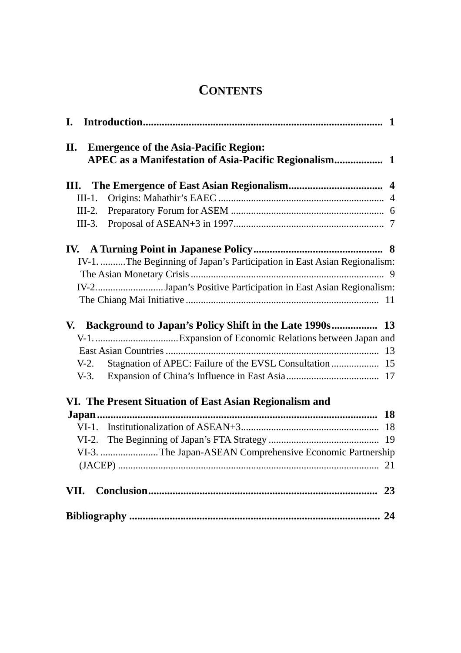# **CONTENTS**

| <b>Emergence of the Asia-Pacific Region:</b><br>II.                     |  |
|-------------------------------------------------------------------------|--|
|                                                                         |  |
|                                                                         |  |
|                                                                         |  |
|                                                                         |  |
|                                                                         |  |
| IV-1. The Beginning of Japan's Participation in East Asian Regionalism: |  |
|                                                                         |  |
| IV-2Japan's Positive Participation in East Asian Regionalism:           |  |
|                                                                         |  |
|                                                                         |  |
| V. Background to Japan's Policy Shift in the Late 1990s 13              |  |
|                                                                         |  |
|                                                                         |  |
| $V-2$ .                                                                 |  |
|                                                                         |  |
| VI. The Present Situation of East Asian Regionalism and                 |  |
|                                                                         |  |
|                                                                         |  |
|                                                                         |  |
| VI-3. The Japan-ASEAN Comprehensive Economic Partnership                |  |
| 21                                                                      |  |
|                                                                         |  |
|                                                                         |  |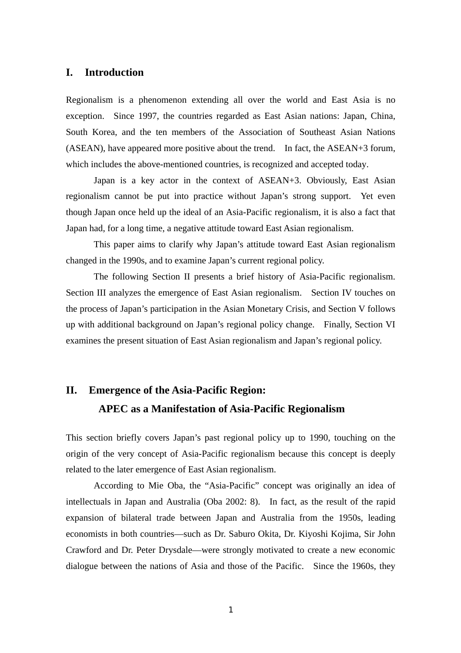## **I. Introduction**

Regionalism is a phenomenon extending all over the world and East Asia is no exception. Since 1997, the countries regarded as East Asian nations: Japan, China, South Korea, and the ten members of the Association of Southeast Asian Nations (ASEAN), have appeared more positive about the trend. In fact, the ASEAN+3 forum, which includes the above-mentioned countries, is recognized and accepted today.

Japan is a key actor in the context of ASEAN+3. Obviously, East Asian regionalism cannot be put into practice without Japan's strong support. Yet even though Japan once held up the ideal of an Asia-Pacific regionalism, it is also a fact that Japan had, for a long time, a negative attitude toward East Asian regionalism.

This paper aims to clarify why Japan's attitude toward East Asian regionalism changed in the 1990s, and to examine Japan's current regional policy.

The following Section II presents a brief history of Asia-Pacific regionalism. Section III analyzes the emergence of East Asian regionalism. Section IV touches on the process of Japan's participation in the Asian Monetary Crisis, and Section V follows up with additional background on Japan's regional policy change. Finally, Section VI examines the present situation of East Asian regionalism and Japan's regional policy.

# **II. Emergence of the Asia-Pacific Region: APEC as a Manifestation of Asia-Pacific Regionalism**

This section briefly covers Japan's past regional policy up to 1990, touching on the origin of the very concept of Asia-Pacific regionalism because this concept is deeply related to the later emergence of East Asian regionalism.

According to Mie Oba, the "Asia-Pacific" concept was originally an idea of intellectuals in Japan and Australia (Oba 2002: 8). In fact, as the result of the rapid expansion of bilateral trade between Japan and Australia from the 1950s, leading economists in both countries—such as Dr. Saburo Okita, Dr. Kiyoshi Kojima, Sir John Crawford and Dr. Peter Drysdale—were strongly motivated to create a new economic dialogue between the nations of Asia and those of the Pacific. Since the 1960s, they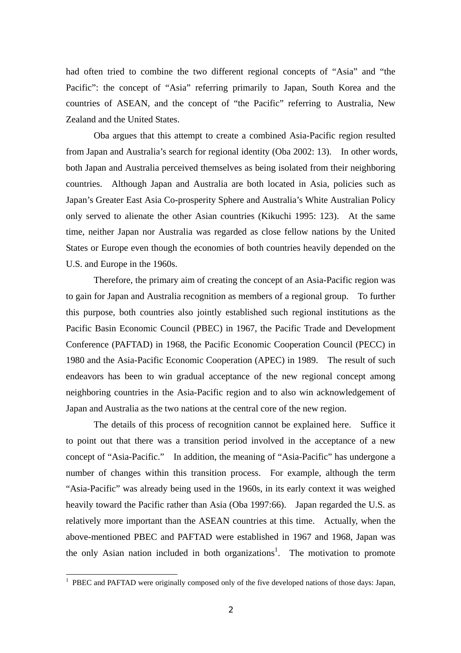had often tried to combine the two different regional concepts of "Asia" and "the Pacific": the concept of "Asia" referring primarily to Japan, South Korea and the countries of ASEAN, and the concept of "the Pacific" referring to Australia, New Zealand and the United States.

Oba argues that this attempt to create a combined Asia-Pacific region resulted from Japan and Australia's search for regional identity (Oba 2002: 13). In other words, both Japan and Australia perceived themselves as being isolated from their neighboring countries. Although Japan and Australia are both located in Asia, policies such as Japan's Greater East Asia Co-prosperity Sphere and Australia's White Australian Policy only served to alienate the other Asian countries (Kikuchi 1995: 123). At the same time, neither Japan nor Australia was regarded as close fellow nations by the United States or Europe even though the economies of both countries heavily depended on the U.S. and Europe in the 1960s.

Therefore, the primary aim of creating the concept of an Asia-Pacific region was to gain for Japan and Australia recognition as members of a regional group. To further this purpose, both countries also jointly established such regional institutions as the Pacific Basin Economic Council (PBEC) in 1967, the Pacific Trade and Development Conference (PAFTAD) in 1968, the Pacific Economic Cooperation Council (PECC) in 1980 and the Asia-Pacific Economic Cooperation (APEC) in 1989. The result of such endeavors has been to win gradual acceptance of the new regional concept among neighboring countries in the Asia-Pacific region and to also win acknowledgement of Japan and Australia as the two nations at the central core of the new region.

The details of this process of recognition cannot be explained here. Suffice it to point out that there was a transition period involved in the acceptance of a new concept of "Asia-Pacific." In addition, the meaning of "Asia-Pacific" has undergone a number of changes within this transition process. For example, although the term "Asia-Pacific" was already being used in the 1960s, in its early context it was weighed heavily toward the Pacific rather than Asia (Oba 1997:66). Japan regarded the U.S. as relatively more important than the ASEAN countries at this time. Actually, when the above-mentioned PBEC and PAFTAD were established in 1967 and 1968, Japan was the only Asian nation included in both organizations<sup>1</sup>. The motivation to promote

<sup>&</sup>lt;sup>1</sup> PBEC and PAFTAD were originally composed only of the five developed nations of those days: Japan,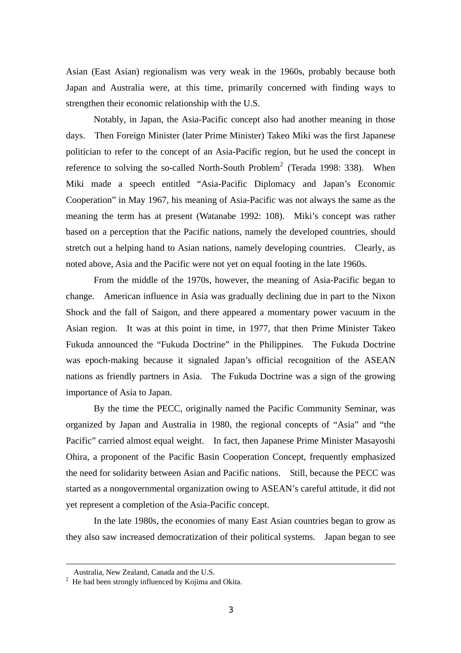Asian (East Asian) regionalism was very weak in the 1960s, probably because both Japan and Australia were, at this time, primarily concerned with finding ways to strengthen their economic relationship with the U.S.

Notably, in Japan, the Asia-Pacific concept also had another meaning in those days. Then Foreign Minister (later Prime Minister) Takeo Miki was the first Japanese politician to refer to the concept of an Asia-Pacific region, but he used the concept in reference to solving the so-called North-South Problem<sup>2</sup> (Terada 1998: 338). When Miki made a speech entitled "Asia-Pacific Diplomacy and Japan's Economic Cooperation" in May 1967, his meaning of Asia-Pacific was not always the same as the meaning the term has at present (Watanabe 1992: 108). Miki's concept was rather based on a perception that the Pacific nations, namely the developed countries, should stretch out a helping hand to Asian nations, namely developing countries. Clearly, as noted above, Asia and the Pacific were not yet on equal footing in the late 1960s.

From the middle of the 1970s, however, the meaning of Asia-Pacific began to change. American influence in Asia was gradually declining due in part to the Nixon Shock and the fall of Saigon, and there appeared a momentary power vacuum in the Asian region. It was at this point in time, in 1977, that then Prime Minister Takeo Fukuda announced the "Fukuda Doctrine" in the Philippines. The Fukuda Doctrine was epoch-making because it signaled Japan's official recognition of the ASEAN nations as friendly partners in Asia. The Fukuda Doctrine was a sign of the growing importance of Asia to Japan.

By the time the PECC, originally named the Pacific Community Seminar, was organized by Japan and Australia in 1980, the regional concepts of "Asia" and "the Pacific" carried almost equal weight. In fact, then Japanese Prime Minister Masayoshi Ohira, a proponent of the Pacific Basin Cooperation Concept, frequently emphasized the need for solidarity between Asian and Pacific nations. Still, because the PECC was started as a nongovernmental organization owing to ASEAN's careful attitude, it did not yet represent a completion of the Asia-Pacific concept.

In the late 1980s, the economies of many East Asian countries began to grow as they also saw increased democratization of their political systems. Japan began to see

-

Australia, New Zealand, Canada and the U.S. 2

 $2$  He had been strongly influenced by Kojima and Okita.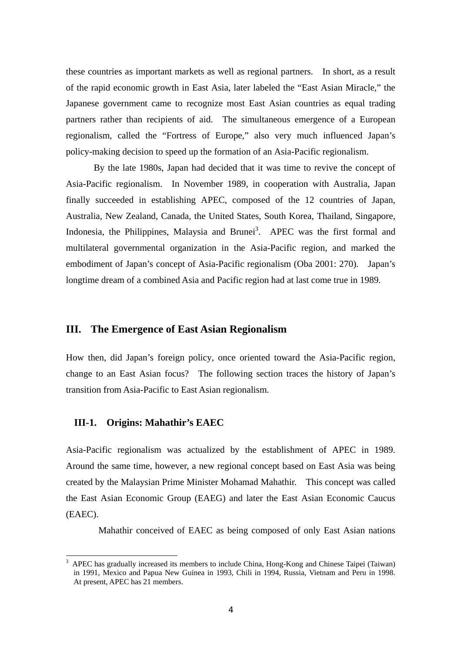these countries as important markets as well as regional partners. In short, as a result of the rapid economic growth in East Asia, later labeled the "East Asian Miracle," the Japanese government came to recognize most East Asian countries as equal trading partners rather than recipients of aid. The simultaneous emergence of a European regionalism, called the "Fortress of Europe," also very much influenced Japan's policy-making decision to speed up the formation of an Asia-Pacific regionalism.

By the late 1980s, Japan had decided that it was time to revive the concept of Asia-Pacific regionalism. In November 1989, in cooperation with Australia, Japan finally succeeded in establishing APEC, composed of the 12 countries of Japan, Australia, New Zealand, Canada, the United States, South Korea, Thailand, Singapore, Indonesia, the Philippines, Malaysia and Brunei<sup>3</sup>. APEC was the first formal and multilateral governmental organization in the Asia-Pacific region, and marked the embodiment of Japan's concept of Asia-Pacific regionalism (Oba 2001: 270). Japan's longtime dream of a combined Asia and Pacific region had at last come true in 1989.

## **III. The Emergence of East Asian Regionalism**

How then, did Japan's foreign policy, once oriented toward the Asia-Pacific region, change to an East Asian focus? The following section traces the history of Japan's transition from Asia-Pacific to East Asian regionalism.

## **III-1. Origins: Mahathir's EAEC**

 $\overline{a}$ 

Asia-Pacific regionalism was actualized by the establishment of APEC in 1989. Around the same time, however, a new regional concept based on East Asia was being created by the Malaysian Prime Minister Mohamad Mahathir. This concept was called the East Asian Economic Group (EAEG) and later the East Asian Economic Caucus (EAEC).

Mahathir conceived of EAEC as being composed of only East Asian nations

<sup>3</sup> APEC has gradually increased its members to include China, Hong-Kong and Chinese Taipei (Taiwan) in 1991, Mexico and Papua New Guinea in 1993, Chili in 1994, Russia, Vietnam and Peru in 1998. At present, APEC has 21 members.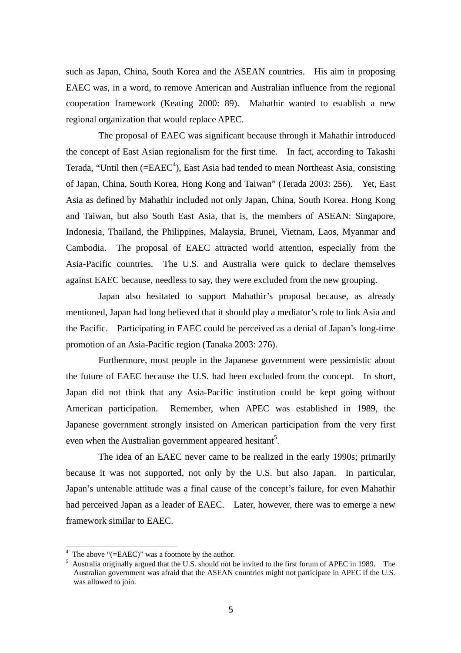such as Japan, China, South Korea and the ASEAN countries. His aim in proposing EAEC was, in a word, to remove American and Australian influence from the regional cooperation framework (Keating 2000: 89). Mahathir wanted to establish a new regional organization that would replace APEC.

The proposal of EAEC was significant because through it Mahathir introduced the concept of East Asian regionalism for the first time. In fact, according to Takashi Terada, "Until then  $(=EAEC^4)$ , East Asia had tended to mean Northeast Asia, consisting of Japan, China, South Korea, Hong Kong and Taiwan" (Terada 2003: 256). Yet, East Asia as defined by Mahathir included not only Japan, China, South Korea. Hong Kong and Taiwan, but also South East Asia, that is, the members of ASEAN: Singapore, Indonesia, Thailand, the Philippines, Malaysia, Brunei, Vietnam, Laos, Myanmar and Cambodia. The proposal of EAEC attracted world attention, especially from the Asia-Pacific countries. The U.S. and Australia were quick to declare themselves against EAEC because, needless to say, they were excluded from the new grouping.

Japan also hesitated to support Mahathir's proposal because, as already mentioned, Japan had long believed that it should play a mediator's role to link Asia and the Pacific. Participating in EAEC could be perceived as a denial of Japan's long-time promotion of an Asia-Pacific region (Tanaka 2003: 276).

Furthermore, most people in the Japanese government were pessimistic about the future of EAEC because the U.S. had been excluded from the concept. In short, Japan did not think that any Asia-Pacific institution could be kept going without American participation. Remember, when APEC was established in 1989, the Japanese government strongly insisted on American participation from the very first even when the Australian government appeared hesitant<sup>5</sup>.

The idea of an EAEC never came to be realized in the early 1990s; primarily because it was not supported, not only by the U.S. but also Japan. In particular, Japan's untenable attitude was a final cause of the concept's failure, for even Mahathir had perceived Japan as a leader of EAEC. Later, however, there was to emerge a new framework similar to EAEC.

 $\overline{a}$ 

<sup>&</sup>lt;sup>4</sup> The above "(=EAEC)" was a footnote by the author.

 $<sup>5</sup>$  Australia originally argued that the U.S. should not be invited to the first forum of APEC in 1989. The</sup> Australian government was afraid that the ASEAN countries might not participate in APEC if the U.S. was allowed to join.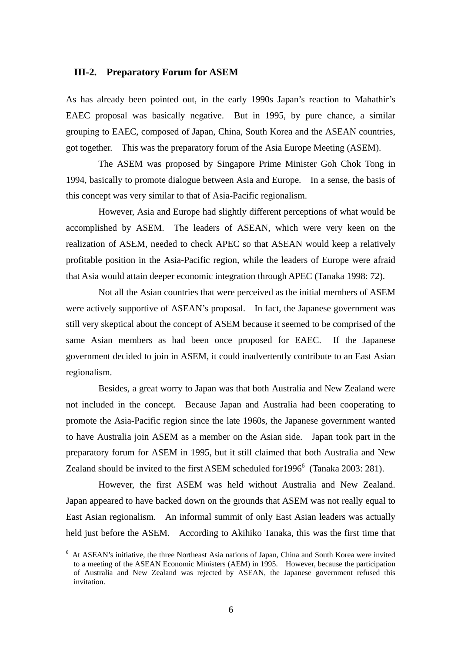## **III-2. Preparatory Forum for ASEM**

As has already been pointed out, in the early 1990s Japan's reaction to Mahathir's EAEC proposal was basically negative. But in 1995, by pure chance, a similar grouping to EAEC, composed of Japan, China, South Korea and the ASEAN countries, got together. This was the preparatory forum of the Asia Europe Meeting (ASEM).

The ASEM was proposed by Singapore Prime Minister Goh Chok Tong in 1994, basically to promote dialogue between Asia and Europe. In a sense, the basis of this concept was very similar to that of Asia-Pacific regionalism.

However, Asia and Europe had slightly different perceptions of what would be accomplished by ASEM. The leaders of ASEAN, which were very keen on the realization of ASEM, needed to check APEC so that ASEAN would keep a relatively profitable position in the Asia-Pacific region, while the leaders of Europe were afraid that Asia would attain deeper economic integration through APEC (Tanaka 1998: 72).

Not all the Asian countries that were perceived as the initial members of ASEM were actively supportive of ASEAN's proposal. In fact, the Japanese government was still very skeptical about the concept of ASEM because it seemed to be comprised of the same Asian members as had been once proposed for EAEC. If the Japanese government decided to join in ASEM, it could inadvertently contribute to an East Asian regionalism.

Besides, a great worry to Japan was that both Australia and New Zealand were not included in the concept. Because Japan and Australia had been cooperating to promote the Asia-Pacific region since the late 1960s, the Japanese government wanted to have Australia join ASEM as a member on the Asian side. Japan took part in the preparatory forum for ASEM in 1995, but it still claimed that both Australia and New Zealand should be invited to the first ASEM scheduled for 1996<sup>6</sup> (Tanaka 2003: 281).

However, the first ASEM was held without Australia and New Zealand. Japan appeared to have backed down on the grounds that ASEM was not really equal to East Asian regionalism. An informal summit of only East Asian leaders was actually held just before the ASEM. According to Akihiko Tanaka, this was the first time that

 $\overline{a}$ 

<sup>&</sup>lt;sup>6</sup> At ASEAN's initiative, the three Northeast Asia nations of Japan, China and South Korea were invited to a meeting of the ASEAN Economic Ministers (AEM) in 1995. However, because the participation of Australia and New Zealand was rejected by ASEAN, the Japanese government refused this invitation.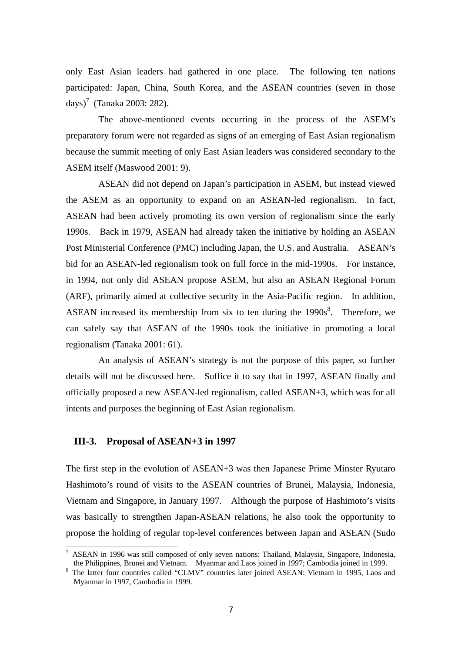only East Asian leaders had gathered in one place. The following ten nations participated: Japan, China, South Korea, and the ASEAN countries (seven in those days)<sup>7</sup> (Tanaka 2003: 282).

The above-mentioned events occurring in the process of the ASEM's preparatory forum were not regarded as signs of an emerging of East Asian regionalism because the summit meeting of only East Asian leaders was considered secondary to the ASEM itself (Maswood 2001: 9).

ASEAN did not depend on Japan's participation in ASEM, but instead viewed the ASEM as an opportunity to expand on an ASEAN-led regionalism. In fact, ASEAN had been actively promoting its own version of regionalism since the early 1990s. Back in 1979, ASEAN had already taken the initiative by holding an ASEAN Post Ministerial Conference (PMC) including Japan, the U.S. and Australia. ASEAN's bid for an ASEAN-led regionalism took on full force in the mid-1990s. For instance, in 1994, not only did ASEAN propose ASEM, but also an ASEAN Regional Forum (ARF), primarily aimed at collective security in the Asia-Pacific region. In addition, ASEAN increased its membership from six to ten during the  $1990s<sup>8</sup>$ . Therefore, we can safely say that ASEAN of the 1990s took the initiative in promoting a local regionalism (Tanaka 2001: 61).

An analysis of ASEAN's strategy is not the purpose of this paper, so further details will not be discussed here. Suffice it to say that in 1997, ASEAN finally and officially proposed a new ASEAN-led regionalism, called ASEAN+3, which was for all intents and purposes the beginning of East Asian regionalism.

## **III-3. Proposal of ASEAN+3 in 1997**

 $\overline{a}$ 

The first step in the evolution of ASEAN+3 was then Japanese Prime Minster Ryutaro Hashimoto's round of visits to the ASEAN countries of Brunei, Malaysia, Indonesia, Vietnam and Singapore, in January 1997. Although the purpose of Hashimoto's visits was basically to strengthen Japan-ASEAN relations, he also took the opportunity to propose the holding of regular top-level conferences between Japan and ASEAN (Sudo

<sup>&</sup>lt;sup>7</sup> ASEAN in 1996 was still composed of only seven nations: Thailand, Malaysia, Singapore, Indonesia, the Philippines, Brunei and Vietnam. Myanmar and Laos joined in 1997; Cambodia joined in 1999. 8

<sup>&</sup>lt;sup>8</sup> The latter four countries called "CLMV" countries later joined ASEAN: Vietnam in 1995, Laos and Myanmar in 1997, Cambodia in 1999.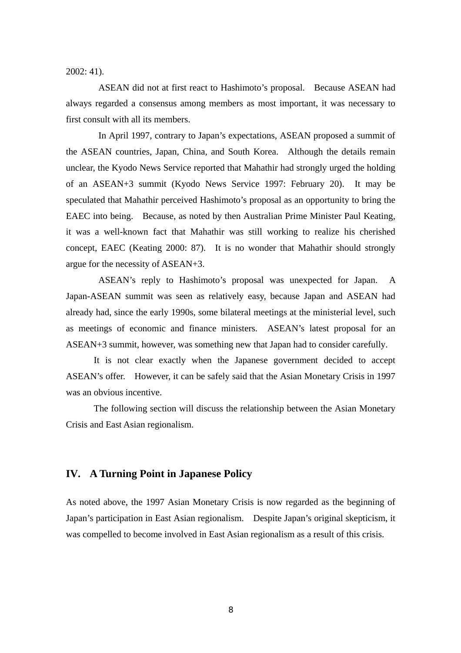2002: 41).

ASEAN did not at first react to Hashimoto's proposal. Because ASEAN had always regarded a consensus among members as most important, it was necessary to first consult with all its members.

In April 1997, contrary to Japan's expectations, ASEAN proposed a summit of the ASEAN countries, Japan, China, and South Korea. Although the details remain unclear, the Kyodo News Service reported that Mahathir had strongly urged the holding of an ASEAN+3 summit (Kyodo News Service 1997: February 20). It may be speculated that Mahathir perceived Hashimoto's proposal as an opportunity to bring the EAEC into being. Because, as noted by then Australian Prime Minister Paul Keating, it was a well-known fact that Mahathir was still working to realize his cherished concept, EAEC (Keating 2000: 87). It is no wonder that Mahathir should strongly argue for the necessity of ASEAN+3.

ASEAN's reply to Hashimoto's proposal was unexpected for Japan. A Japan-ASEAN summit was seen as relatively easy, because Japan and ASEAN had already had, since the early 1990s, some bilateral meetings at the ministerial level, such as meetings of economic and finance ministers. ASEAN's latest proposal for an ASEAN+3 summit, however, was something new that Japan had to consider carefully.

It is not clear exactly when the Japanese government decided to accept ASEAN's offer. However, it can be safely said that the Asian Monetary Crisis in 1997 was an obvious incentive.

The following section will discuss the relationship between the Asian Monetary Crisis and East Asian regionalism.

## **IV. A Turning Point in Japanese Policy**

As noted above, the 1997 Asian Monetary Crisis is now regarded as the beginning of Japan's participation in East Asian regionalism. Despite Japan's original skepticism, it was compelled to become involved in East Asian regionalism as a result of this crisis.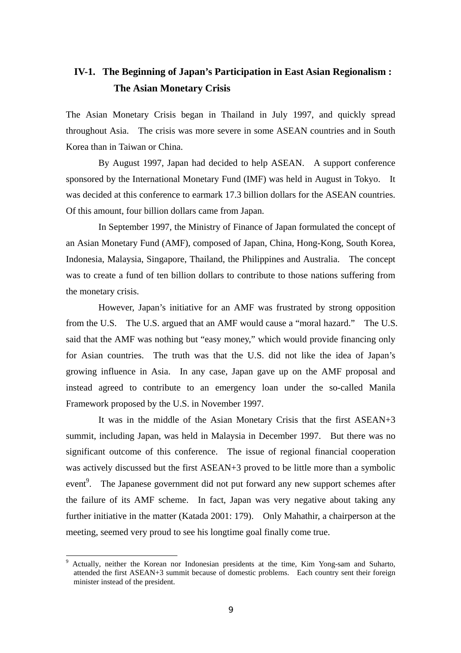## **IV-1. The Beginning of Japan's Participation in East Asian Regionalism : The Asian Monetary Crisis**

The Asian Monetary Crisis began in Thailand in July 1997, and quickly spread throughout Asia. The crisis was more severe in some ASEAN countries and in South Korea than in Taiwan or China.

By August 1997, Japan had decided to help ASEAN. A support conference sponsored by the International Monetary Fund (IMF) was held in August in Tokyo. It was decided at this conference to earmark 17.3 billion dollars for the ASEAN countries. Of this amount, four billion dollars came from Japan.

In September 1997, the Ministry of Finance of Japan formulated the concept of an Asian Monetary Fund (AMF), composed of Japan, China, Hong-Kong, South Korea, Indonesia, Malaysia, Singapore, Thailand, the Philippines and Australia. The concept was to create a fund of ten billion dollars to contribute to those nations suffering from the monetary crisis.

However, Japan's initiative for an AMF was frustrated by strong opposition from the U.S. The U.S. argued that an AMF would cause a "moral hazard." The U.S. said that the AMF was nothing but "easy money," which would provide financing only for Asian countries. The truth was that the U.S. did not like the idea of Japan's growing influence in Asia. In any case, Japan gave up on the AMF proposal and instead agreed to contribute to an emergency loan under the so-called Manila Framework proposed by the U.S. in November 1997.

It was in the middle of the Asian Monetary Crisis that the first ASEAN+3 summit, including Japan, was held in Malaysia in December 1997. But there was no significant outcome of this conference. The issue of regional financial cooperation was actively discussed but the first ASEAN+3 proved to be little more than a symbolic event<sup>9</sup>. The Japanese government did not put forward any new support schemes after the failure of its AMF scheme. In fact, Japan was very negative about taking any further initiative in the matter (Katada 2001: 179). Only Mahathir, a chairperson at the meeting, seemed very proud to see his longtime goal finally come true.

 $\overline{a}$ 

<sup>9</sup> Actually, neither the Korean nor Indonesian presidents at the time, Kim Yong-sam and Suharto, attended the first ASEAN+3 summit because of domestic problems. Each country sent their foreign minister instead of the president.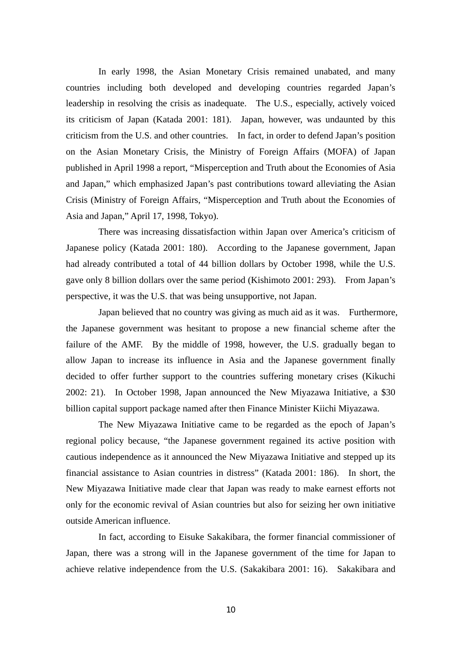In early 1998, the Asian Monetary Crisis remained unabated, and many countries including both developed and developing countries regarded Japan's leadership in resolving the crisis as inadequate. The U.S., especially, actively voiced its criticism of Japan (Katada 2001: 181). Japan, however, was undaunted by this criticism from the U.S. and other countries. In fact, in order to defend Japan's position on the Asian Monetary Crisis, the Ministry of Foreign Affairs (MOFA) of Japan published in April 1998 a report, "Misperception and Truth about the Economies of Asia and Japan," which emphasized Japan's past contributions toward alleviating the Asian Crisis (Ministry of Foreign Affairs, "Misperception and Truth about the Economies of Asia and Japan," April 17, 1998, Tokyo).

There was increasing dissatisfaction within Japan over America's criticism of Japanese policy (Katada 2001: 180). According to the Japanese government, Japan had already contributed a total of 44 billion dollars by October 1998, while the U.S. gave only 8 billion dollars over the same period (Kishimoto 2001: 293). From Japan's perspective, it was the U.S. that was being unsupportive, not Japan.

Japan believed that no country was giving as much aid as it was. Furthermore, the Japanese government was hesitant to propose a new financial scheme after the failure of the AMF. By the middle of 1998, however, the U.S. gradually began to allow Japan to increase its influence in Asia and the Japanese government finally decided to offer further support to the countries suffering monetary crises (Kikuchi 2002: 21). In October 1998, Japan announced the New Miyazawa Initiative, a \$30 billion capital support package named after then Finance Minister Kiichi Miyazawa.

The New Miyazawa Initiative came to be regarded as the epoch of Japan's regional policy because, "the Japanese government regained its active position with cautious independence as it announced the New Miyazawa Initiative and stepped up its financial assistance to Asian countries in distress" (Katada 2001: 186). In short, the New Miyazawa Initiative made clear that Japan was ready to make earnest efforts not only for the economic revival of Asian countries but also for seizing her own initiative outside American influence.

In fact, according to Eisuke Sakakibara, the former financial commissioner of Japan, there was a strong will in the Japanese government of the time for Japan to achieve relative independence from the U.S. (Sakakibara 2001: 16). Sakakibara and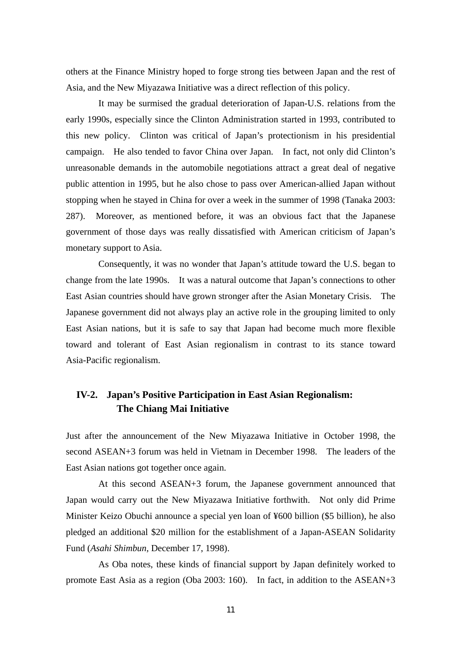others at the Finance Ministry hoped to forge strong ties between Japan and the rest of Asia, and the New Miyazawa Initiative was a direct reflection of this policy.

It may be surmised the gradual deterioration of Japan-U.S. relations from the early 1990s, especially since the Clinton Administration started in 1993, contributed to this new policy. Clinton was critical of Japan's protectionism in his presidential campaign. He also tended to favor China over Japan. In fact, not only did Clinton's unreasonable demands in the automobile negotiations attract a great deal of negative public attention in 1995, but he also chose to pass over American-allied Japan without stopping when he stayed in China for over a week in the summer of 1998 (Tanaka 2003: 287). Moreover, as mentioned before, it was an obvious fact that the Japanese government of those days was really dissatisfied with American criticism of Japan's monetary support to Asia.

Consequently, it was no wonder that Japan's attitude toward the U.S. began to change from the late 1990s. It was a natural outcome that Japan's connections to other East Asian countries should have grown stronger after the Asian Monetary Crisis. The Japanese government did not always play an active role in the grouping limited to only East Asian nations, but it is safe to say that Japan had become much more flexible toward and tolerant of East Asian regionalism in contrast to its stance toward Asia-Pacific regionalism.

## **IV-2. Japan's Positive Participation in East Asian Regionalism: The Chiang Mai Initiative**

Just after the announcement of the New Miyazawa Initiative in October 1998, the second ASEAN+3 forum was held in Vietnam in December 1998. The leaders of the East Asian nations got together once again.

At this second ASEAN+3 forum, the Japanese government announced that Japan would carry out the New Miyazawa Initiative forthwith. Not only did Prime Minister Keizo Obuchi announce a special yen loan of ¥600 billion (\$5 billion), he also pledged an additional \$20 million for the establishment of a Japan-ASEAN Solidarity Fund (*Asahi Shimbun*, December 17, 1998).

As Oba notes, these kinds of financial support by Japan definitely worked to promote East Asia as a region (Oba 2003: 160). In fact, in addition to the ASEAN+3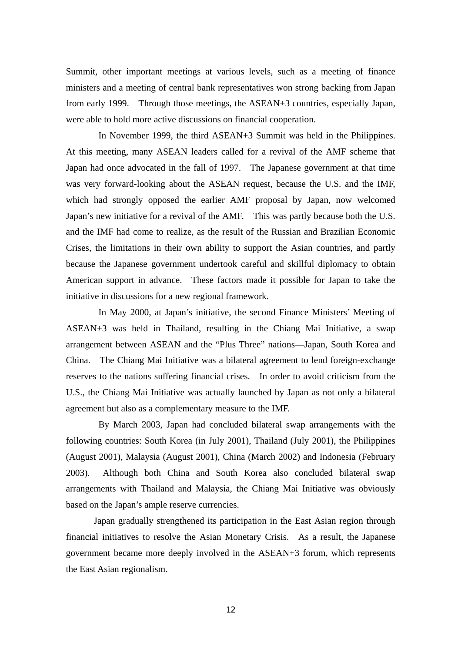Summit, other important meetings at various levels, such as a meeting of finance ministers and a meeting of central bank representatives won strong backing from Japan from early 1999. Through those meetings, the ASEAN+3 countries, especially Japan, were able to hold more active discussions on financial cooperation.

In November 1999, the third ASEAN+3 Summit was held in the Philippines. At this meeting, many ASEAN leaders called for a revival of the AMF scheme that Japan had once advocated in the fall of 1997. The Japanese government at that time was very forward-looking about the ASEAN request, because the U.S. and the IMF, which had strongly opposed the earlier AMF proposal by Japan, now welcomed Japan's new initiative for a revival of the AMF. This was partly because both the U.S. and the IMF had come to realize, as the result of the Russian and Brazilian Economic Crises, the limitations in their own ability to support the Asian countries, and partly because the Japanese government undertook careful and skillful diplomacy to obtain American support in advance. These factors made it possible for Japan to take the initiative in discussions for a new regional framework.

In May 2000, at Japan's initiative, the second Finance Ministers' Meeting of ASEAN+3 was held in Thailand, resulting in the Chiang Mai Initiative, a swap arrangement between ASEAN and the "Plus Three" nations—Japan, South Korea and China. The Chiang Mai Initiative was a bilateral agreement to lend foreign-exchange reserves to the nations suffering financial crises. In order to avoid criticism from the U.S., the Chiang Mai Initiative was actually launched by Japan as not only a bilateral agreement but also as a complementary measure to the IMF.

By March 2003, Japan had concluded bilateral swap arrangements with the following countries: South Korea (in July 2001), Thailand (July 2001), the Philippines (August 2001), Malaysia (August 2001), China (March 2002) and Indonesia (February 2003). Although both China and South Korea also concluded bilateral swap arrangements with Thailand and Malaysia, the Chiang Mai Initiative was obviously based on the Japan's ample reserve currencies.

Japan gradually strengthened its participation in the East Asian region through financial initiatives to resolve the Asian Monetary Crisis. As a result, the Japanese government became more deeply involved in the ASEAN+3 forum, which represents the East Asian regionalism.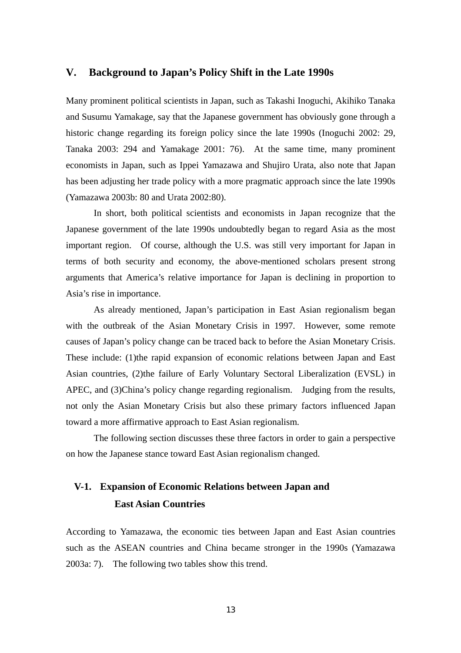## **V. Background to Japan's Policy Shift in the Late 1990s**

Many prominent political scientists in Japan, such as Takashi Inoguchi, Akihiko Tanaka and Susumu Yamakage, say that the Japanese government has obviously gone through a historic change regarding its foreign policy since the late 1990s (Inoguchi 2002: 29, Tanaka 2003: 294 and Yamakage 2001: 76). At the same time, many prominent economists in Japan, such as Ippei Yamazawa and Shujiro Urata, also note that Japan has been adjusting her trade policy with a more pragmatic approach since the late 1990s (Yamazawa 2003b: 80 and Urata 2002:80).

In short, both political scientists and economists in Japan recognize that the Japanese government of the late 1990s undoubtedly began to regard Asia as the most important region. Of course, although the U.S. was still very important for Japan in terms of both security and economy, the above-mentioned scholars present strong arguments that America's relative importance for Japan is declining in proportion to Asia's rise in importance.

As already mentioned, Japan's participation in East Asian regionalism began with the outbreak of the Asian Monetary Crisis in 1997. However, some remote causes of Japan's policy change can be traced back to before the Asian Monetary Crisis. These include: (1)the rapid expansion of economic relations between Japan and East Asian countries, (2)the failure of Early Voluntary Sectoral Liberalization (EVSL) in APEC, and (3)China's policy change regarding regionalism. Judging from the results, not only the Asian Monetary Crisis but also these primary factors influenced Japan toward a more affirmative approach to East Asian regionalism.

The following section discusses these three factors in order to gain a perspective on how the Japanese stance toward East Asian regionalism changed.

## **V-1. Expansion of Economic Relations between Japan and East Asian Countries**

According to Yamazawa, the economic ties between Japan and East Asian countries such as the ASEAN countries and China became stronger in the 1990s (Yamazawa 2003a: 7). The following two tables show this trend.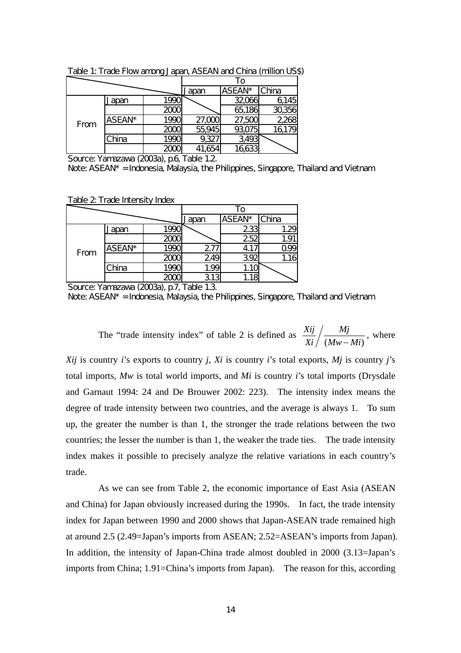|      |        |              |        | To     |        |
|------|--------|--------------|--------|--------|--------|
|      |        |              | apan   | ASEAN* | China  |
|      | Japan  | 1990         |        | 32,066 | 6,145  |
| From |        | 2000         |        | 65,186 | 30,356 |
|      | ASEAN* | 199 <b>C</b> | 27,000 | 27,500 | 2268   |
|      |        | 2000         | 55,945 | 93,075 | 16179  |
|      | China  | 199          | 9,32   | 493    |        |
|      |        | 20           |        |        |        |

Table 1: Trade Flow among Japan, ASEAN and China (million US\$)

Source: Yamazawa (2003a), p.6, Table 1.2.

Note: ASEAN\* = Indonesia, Malaysia, the Philippines, Singapore, Thailand and Vietnam.

Table 2 Trade Intensity Index

|      |        |                         |              | To     |       |
|------|--------|-------------------------|--------------|--------|-------|
|      |        |                         | <u>Japan</u> | ASEAN* | China |
|      | Japan  | 1990                    |              | 233    | 1.29  |
| From |        | $\frac{2000}{2000}$     |              | 252    |       |
|      | ASEAN* | 199C                    | 277          | 4.,    |       |
|      |        | 2000                    | 249          | 392    | 1.16  |
|      | China  | 199                     | 1.99         |        |       |
|      |        | $\overline{\mathbf{m}}$ | 313          |        |       |

Source: Yamazawa (2003a), p.7, Table 1.3.

Note: ASEAN\* = Indonesia, Malaysia, the Philippines, Singapore, Thailand and Vietnam.

The "trade intensity index" of table 2 is defined as  $(Mw-Mi)$ *Mj Xi*  $\frac{Xij}{Xi} / \frac{Mj}{(Mw - Mi)}$ , where

*Xij* is country *i*'s exports to country *j*, *Xi* is country *i*'s total exports, *Mj* is country *j*'s total imports, *Mw* is total world imports, and *Mi* is country *i*'s total imports (Drysdale and Garnaut 1994: 24 and De Brouwer 2002: 223). The intensity index means the degree of trade intensity between two countries, and the average is always 1. To sum up, the greater the number is than 1, the stronger the trade relations between the two countries; the lesser the number is than 1, the weaker the trade ties. The trade intensity index makes it possible to precisely analyze the relative variations in each country's trade.

As we can see from Table 2, the economic importance of East Asia (ASEAN and China) for Japan obviously increased during the 1990s. In fact, the trade intensity index for Japan between 1990 and 2000 shows that Japan-ASEAN trade remained high at around 2.5 (2.49=Japan's imports from ASEAN; 2.52=ASEAN's imports from Japan). In addition, the intensity of Japan-China trade almost doubled in 2000 (3.13=Japan's imports from China; 1.91=China's imports from Japan). The reason for this, according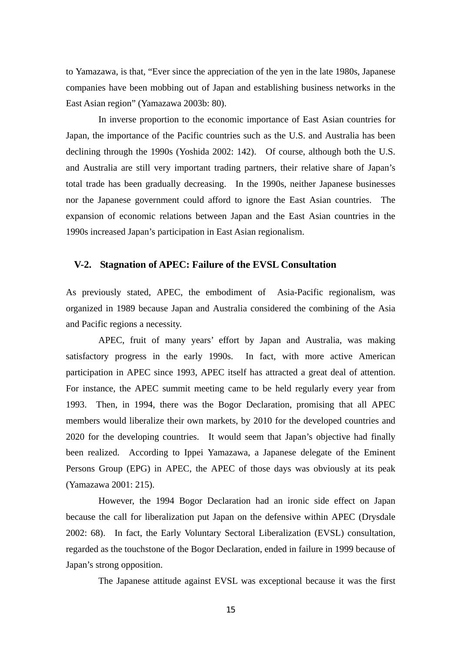to Yamazawa, is that, "Ever since the appreciation of the yen in the late 1980s, Japanese companies have been mobbing out of Japan and establishing business networks in the East Asian region" (Yamazawa 2003b: 80).

In inverse proportion to the economic importance of East Asian countries for Japan, the importance of the Pacific countries such as the U.S. and Australia has been declining through the 1990s (Yoshida 2002: 142). Of course, although both the U.S. and Australia are still very important trading partners, their relative share of Japan's total trade has been gradually decreasing. In the 1990s, neither Japanese businesses nor the Japanese government could afford to ignore the East Asian countries. The expansion of economic relations between Japan and the East Asian countries in the 1990s increased Japan's participation in East Asian regionalism.

## **V-2. Stagnation of APEC: Failure of the EVSL Consultation**

As previously stated, APEC, the embodiment of Asia-Pacific regionalism, was organized in 1989 because Japan and Australia considered the combining of the Asia and Pacific regions a necessity.

APEC, fruit of many years' effort by Japan and Australia, was making satisfactory progress in the early 1990s. In fact, with more active American participation in APEC since 1993, APEC itself has attracted a great deal of attention. For instance, the APEC summit meeting came to be held regularly every year from 1993. Then, in 1994, there was the Bogor Declaration, promising that all APEC members would liberalize their own markets, by 2010 for the developed countries and 2020 for the developing countries. It would seem that Japan's objective had finally been realized. According to Ippei Yamazawa, a Japanese delegate of the Eminent Persons Group (EPG) in APEC, the APEC of those days was obviously at its peak (Yamazawa 2001: 215).

However, the 1994 Bogor Declaration had an ironic side effect on Japan because the call for liberalization put Japan on the defensive within APEC (Drysdale 2002: 68). In fact, the Early Voluntary Sectoral Liberalization (EVSL) consultation, regarded as the touchstone of the Bogor Declaration, ended in failure in 1999 because of Japan's strong opposition.

The Japanese attitude against EVSL was exceptional because it was the first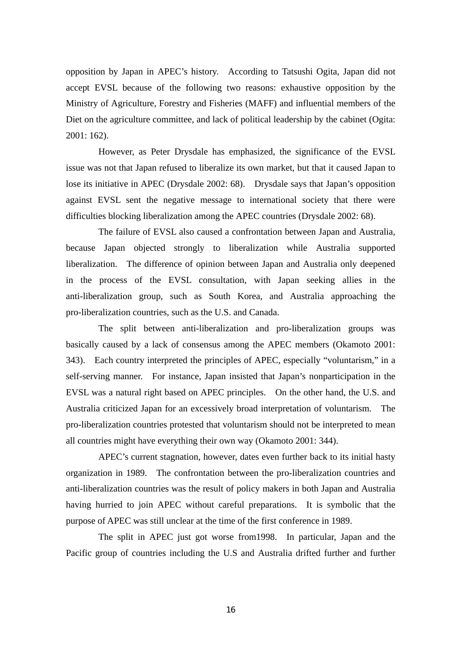opposition by Japan in APEC's history. According to Tatsushi Ogita, Japan did not accept EVSL because of the following two reasons: exhaustive opposition by the Ministry of Agriculture, Forestry and Fisheries (MAFF) and influential members of the Diet on the agriculture committee, and lack of political leadership by the cabinet (Ogita: 2001: 162).

However, as Peter Drysdale has emphasized, the significance of the EVSL issue was not that Japan refused to liberalize its own market, but that it caused Japan to lose its initiative in APEC (Drysdale 2002: 68). Drysdale says that Japan's opposition against EVSL sent the negative message to international society that there were difficulties blocking liberalization among the APEC countries (Drysdale 2002: 68).

The failure of EVSL also caused a confrontation between Japan and Australia, because Japan objected strongly to liberalization while Australia supported liberalization. The difference of opinion between Japan and Australia only deepened in the process of the EVSL consultation, with Japan seeking allies in the anti-liberalization group, such as South Korea, and Australia approaching the pro-liberalization countries, such as the U.S. and Canada.

The split between anti-liberalization and pro-liberalization groups was basically caused by a lack of consensus among the APEC members (Okamoto 2001: 343). Each country interpreted the principles of APEC, especially "voluntarism," in a self-serving manner. For instance, Japan insisted that Japan's nonparticipation in the EVSL was a natural right based on APEC principles. On the other hand, the U.S. and Australia criticized Japan for an excessively broad interpretation of voluntarism. The pro-liberalization countries protested that voluntarism should not be interpreted to mean all countries might have everything their own way (Okamoto 2001: 344).

APEC's current stagnation, however, dates even further back to its initial hasty organization in 1989. The confrontation between the pro-liberalization countries and anti-liberalization countries was the result of policy makers in both Japan and Australia having hurried to join APEC without careful preparations. It is symbolic that the purpose of APEC was still unclear at the time of the first conference in 1989.

The split in APEC just got worse from1998. In particular, Japan and the Pacific group of countries including the U.S and Australia drifted further and further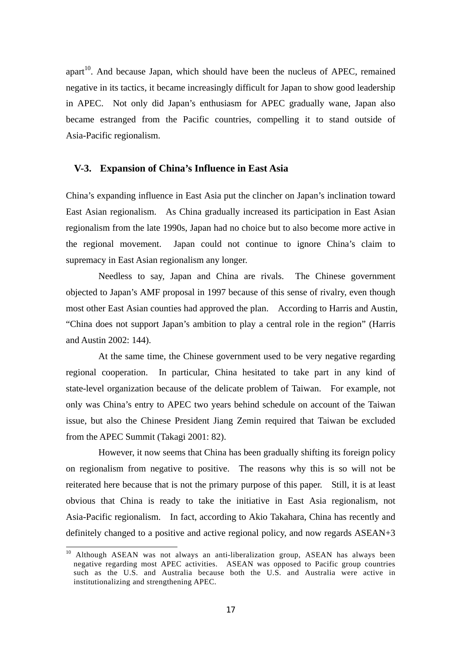apart<sup>10</sup>. And because Japan, which should have been the nucleus of APEC, remained negative in its tactics, it became increasingly difficult for Japan to show good leadership in APEC. Not only did Japan's enthusiasm for APEC gradually wane, Japan also became estranged from the Pacific countries, compelling it to stand outside of Asia-Pacific regionalism.

## **V-3. Expansion of China's Influence in East Asia**

China's expanding influence in East Asia put the clincher on Japan's inclination toward East Asian regionalism. As China gradually increased its participation in East Asian regionalism from the late 1990s, Japan had no choice but to also become more active in the regional movement. Japan could not continue to ignore China's claim to supremacy in East Asian regionalism any longer.

Needless to say, Japan and China are rivals. The Chinese government objected to Japan's AMF proposal in 1997 because of this sense of rivalry, even though most other East Asian counties had approved the plan. According to Harris and Austin, "China does not support Japan's ambition to play a central role in the region" (Harris and Austin 2002: 144).

At the same time, the Chinese government used to be very negative regarding regional cooperation. In particular, China hesitated to take part in any kind of state-level organization because of the delicate problem of Taiwan. For example, not only was China's entry to APEC two years behind schedule on account of the Taiwan issue, but also the Chinese President Jiang Zemin required that Taiwan be excluded from the APEC Summit (Takagi 2001: 82).

However, it now seems that China has been gradually shifting its foreign policy on regionalism from negative to positive. The reasons why this is so will not be reiterated here because that is not the primary purpose of this paper. Still, it is at least obvious that China is ready to take the initiative in East Asia regionalism, not Asia-Pacific regionalism. In fact, according to Akio Takahara, China has recently and definitely changed to a positive and active regional policy, and now regards ASEAN+3

 $\overline{a}$ 

<sup>&</sup>lt;sup>10</sup> Although ASEAN was not always an anti-liberalization group, ASEAN has always been negative regarding most APEC activities. ASEAN was opposed to Pacific group countries such as the U.S. and Australia because both the U.S. and Australia were active in institutionalizing and strengthening APEC.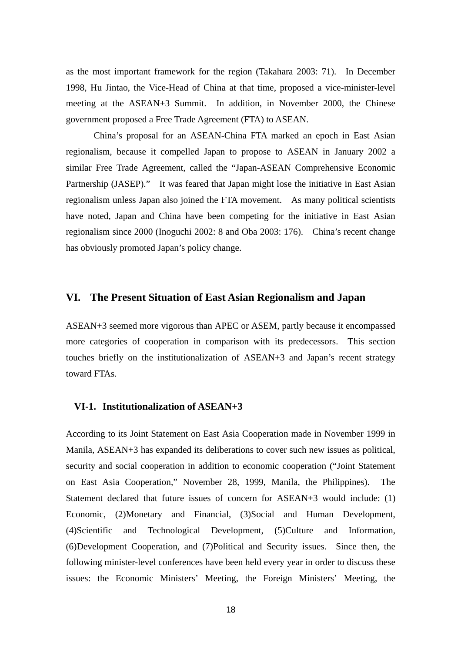as the most important framework for the region (Takahara 2003: 71). In December 1998, Hu Jintao, the Vice-Head of China at that time, proposed a vice-minister-level meeting at the ASEAN+3 Summit. In addition, in November 2000, the Chinese government proposed a Free Trade Agreement (FTA) to ASEAN.

China's proposal for an ASEAN-China FTA marked an epoch in East Asian regionalism, because it compelled Japan to propose to ASEAN in January 2002 a similar Free Trade Agreement, called the "Japan-ASEAN Comprehensive Economic Partnership (JASEP)." It was feared that Japan might lose the initiative in East Asian regionalism unless Japan also joined the FTA movement. As many political scientists have noted, Japan and China have been competing for the initiative in East Asian regionalism since 2000 (Inoguchi 2002: 8 and Oba 2003: 176). China's recent change has obviously promoted Japan's policy change.

## **VI. The Present Situation of East Asian Regionalism and Japan**

ASEAN+3 seemed more vigorous than APEC or ASEM, partly because it encompassed more categories of cooperation in comparison with its predecessors. This section touches briefly on the institutionalization of ASEAN+3 and Japan's recent strategy toward FTAs.

## **VI-1. Institutionalization of ASEAN+3**

According to its Joint Statement on East Asia Cooperation made in November 1999 in Manila, ASEAN+3 has expanded its deliberations to cover such new issues as political, security and social cooperation in addition to economic cooperation ("Joint Statement on East Asia Cooperation," November 28, 1999, Manila, the Philippines). The Statement declared that future issues of concern for ASEAN+3 would include: (1) Economic, (2)Monetary and Financial, (3)Social and Human Development, (4)Scientific and Technological Development, (5)Culture and Information, (6)Development Cooperation, and (7)Political and Security issues. Since then, the following minister-level conferences have been held every year in order to discuss these issues: the Economic Ministers' Meeting, the Foreign Ministers' Meeting, the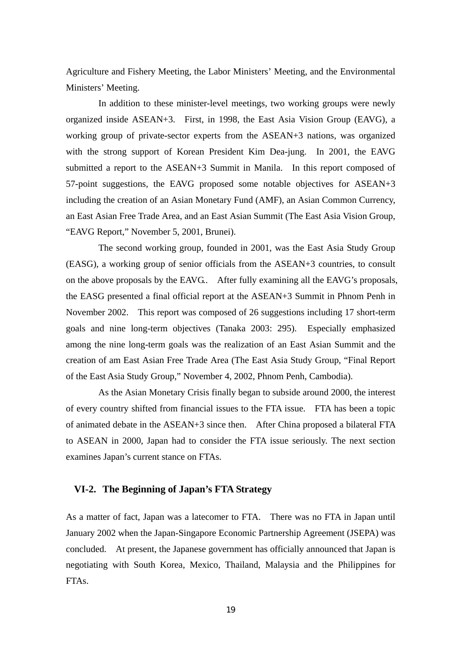Agriculture and Fishery Meeting, the Labor Ministers' Meeting, and the Environmental Ministers' Meeting.

In addition to these minister-level meetings, two working groups were newly organized inside ASEAN+3. First, in 1998, the East Asia Vision Group (EAVG), a working group of private-sector experts from the ASEAN+3 nations, was organized with the strong support of Korean President Kim Dea-jung. In 2001, the EAVG submitted a report to the ASEAN+3 Summit in Manila. In this report composed of 57-point suggestions, the EAVG proposed some notable objectives for ASEAN+3 including the creation of an Asian Monetary Fund (AMF), an Asian Common Currency, an East Asian Free Trade Area, and an East Asian Summit (The East Asia Vision Group, "EAVG Report," November 5, 2001, Brunei).

The second working group, founded in 2001, was the East Asia Study Group (EASG), a working group of senior officials from the ASEAN+3 countries, to consult on the above proposals by the EAVG.. After fully examining all the EAVG's proposals, the EASG presented a final official report at the ASEAN+3 Summit in Phnom Penh in November 2002. This report was composed of 26 suggestions including 17 short-term goals and nine long-term objectives (Tanaka 2003: 295). Especially emphasized among the nine long-term goals was the realization of an East Asian Summit and the creation of am East Asian Free Trade Area (The East Asia Study Group, "Final Report of the East Asia Study Group," November 4, 2002, Phnom Penh, Cambodia).

As the Asian Monetary Crisis finally began to subside around 2000, the interest of every country shifted from financial issues to the FTA issue. FTA has been a topic of animated debate in the ASEAN+3 since then. After China proposed a bilateral FTA to ASEAN in 2000, Japan had to consider the FTA issue seriously. The next section examines Japan's current stance on FTAs.

## **VI-2. The Beginning of Japan's FTA Strategy**

As a matter of fact, Japan was a latecomer to FTA. There was no FTA in Japan until January 2002 when the Japan-Singapore Economic Partnership Agreement (JSEPA) was concluded. At present, the Japanese government has officially announced that Japan is negotiating with South Korea, Mexico, Thailand, Malaysia and the Philippines for FTAs.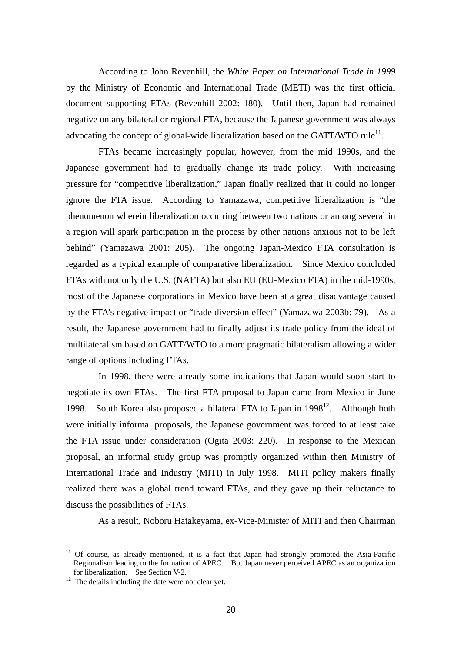According to John Revenhill, the *White Paper on International Trade in 1999* by the Ministry of Economic and International Trade (METI) was the first official document supporting FTAs (Revenhill 2002: 180). Until then, Japan had remained negative on any bilateral or regional FTA, because the Japanese government was always advocating the concept of global-wide liberalization based on the GATT/WTO rule<sup>11</sup>.

FTAs became increasingly popular, however, from the mid 1990s, and the Japanese government had to gradually change its trade policy. With increasing pressure for "competitive liberalization," Japan finally realized that it could no longer ignore the FTA issue. According to Yamazawa, competitive liberalization is "the phenomenon wherein liberalization occurring between two nations or among several in a region will spark participation in the process by other nations anxious not to be left behind" (Yamazawa 2001: 205). The ongoing Japan-Mexico FTA consultation is regarded as a typical example of comparative liberalization. Since Mexico concluded FTAs with not only the U.S. (NAFTA) but also EU (EU-Mexico FTA) in the mid-1990s, most of the Japanese corporations in Mexico have been at a great disadvantage caused by the FTA's negative impact or "trade diversion effect" (Yamazawa 2003b: 79). As a result, the Japanese government had to finally adjust its trade policy from the ideal of multilateralism based on GATT/WTO to a more pragmatic bilateralism allowing a wider range of options including FTAs.

In 1998, there were already some indications that Japan would soon start to negotiate its own FTAs. The first FTA proposal to Japan came from Mexico in June 1998. South Korea also proposed a bilateral FTA to Japan in  $1998<sup>12</sup>$ . Although both were initially informal proposals, the Japanese government was forced to at least take the FTA issue under consideration (Ogita 2003: 220). In response to the Mexican proposal, an informal study group was promptly organized within then Ministry of International Trade and Industry (MITI) in July 1998. MITI policy makers finally realized there was a global trend toward FTAs, and they gave up their reluctance to discuss the possibilities of FTAs.

As a result, Noboru Hatakeyama, ex-Vice-Minister of MITI and then Chairman

 $\overline{a}$ 

<sup>&</sup>lt;sup>11</sup> Of course, as already mentioned, it is a fact that Japan had strongly promoted the Asia-Pacific Regionalism leading to the formation of APEC. But Japan never perceived APEC as an organization for liberalization. See Section V-2.<br><sup>12</sup> The details including the date were not clear yet.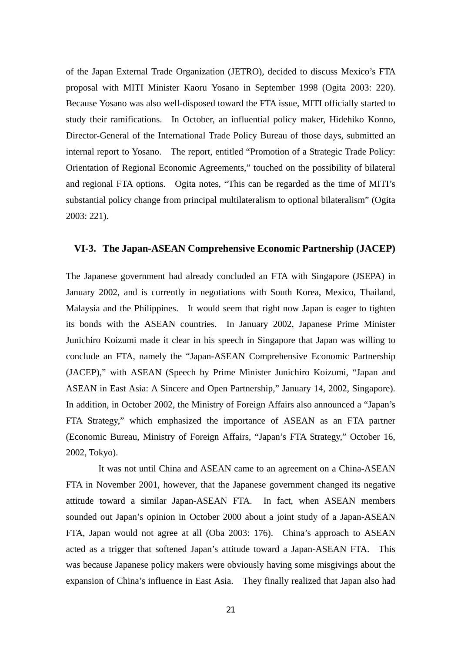of the Japan External Trade Organization (JETRO), decided to discuss Mexico's FTA proposal with MITI Minister Kaoru Yosano in September 1998 (Ogita 2003: 220). Because Yosano was also well-disposed toward the FTA issue, MITI officially started to study their ramifications. In October, an influential policy maker, Hidehiko Konno, Director-General of the International Trade Policy Bureau of those days, submitted an internal report to Yosano. The report, entitled "Promotion of a Strategic Trade Policy: Orientation of Regional Economic Agreements," touched on the possibility of bilateral and regional FTA options. Ogita notes, "This can be regarded as the time of MITI's substantial policy change from principal multilateralism to optional bilateralism" (Ogita 2003: 221).

## **VI-3. The Japan-ASEAN Comprehensive Economic Partnership (JACEP)**

The Japanese government had already concluded an FTA with Singapore (JSEPA) in January 2002, and is currently in negotiations with South Korea, Mexico, Thailand, Malaysia and the Philippines. It would seem that right now Japan is eager to tighten its bonds with the ASEAN countries. In January 2002, Japanese Prime Minister Junichiro Koizumi made it clear in his speech in Singapore that Japan was willing to conclude an FTA, namely the "Japan-ASEAN Comprehensive Economic Partnership (JACEP)," with ASEAN (Speech by Prime Minister Junichiro Koizumi, "Japan and ASEAN in East Asia: A Sincere and Open Partnership," January 14, 2002, Singapore). In addition, in October 2002, the Ministry of Foreign Affairs also announced a "Japan's FTA Strategy," which emphasized the importance of ASEAN as an FTA partner (Economic Bureau, Ministry of Foreign Affairs, "Japan's FTA Strategy," October 16, 2002, Tokyo).

It was not until China and ASEAN came to an agreement on a China-ASEAN FTA in November 2001, however, that the Japanese government changed its negative attitude toward a similar Japan-ASEAN FTA. In fact, when ASEAN members sounded out Japan's opinion in October 2000 about a joint study of a Japan-ASEAN FTA, Japan would not agree at all (Oba 2003: 176). China's approach to ASEAN acted as a trigger that softened Japan's attitude toward a Japan-ASEAN FTA. This was because Japanese policy makers were obviously having some misgivings about the expansion of China's influence in East Asia. They finally realized that Japan also had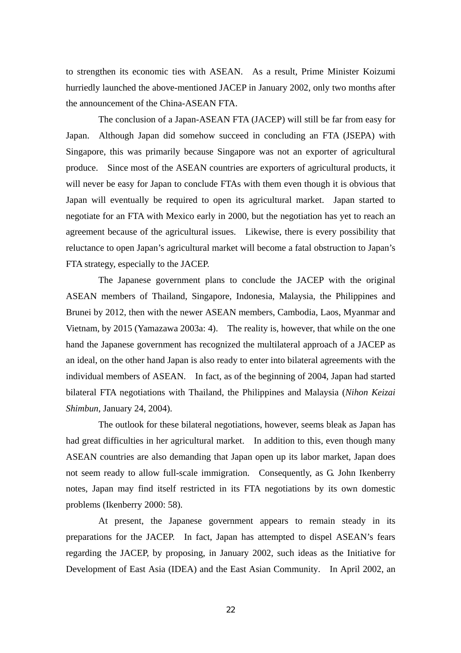to strengthen its economic ties with ASEAN. As a result, Prime Minister Koizumi hurriedly launched the above-mentioned JACEP in January 2002, only two months after the announcement of the China-ASEAN FTA.

The conclusion of a Japan-ASEAN FTA (JACEP) will still be far from easy for Japan. Although Japan did somehow succeed in concluding an FTA (JSEPA) with Singapore, this was primarily because Singapore was not an exporter of agricultural produce. Since most of the ASEAN countries are exporters of agricultural products, it will never be easy for Japan to conclude FTAs with them even though it is obvious that Japan will eventually be required to open its agricultural market. Japan started to negotiate for an FTA with Mexico early in 2000, but the negotiation has yet to reach an agreement because of the agricultural issues. Likewise, there is every possibility that reluctance to open Japan's agricultural market will become a fatal obstruction to Japan's FTA strategy, especially to the JACEP.

The Japanese government plans to conclude the JACEP with the original ASEAN members of Thailand, Singapore, Indonesia, Malaysia, the Philippines and Brunei by 2012, then with the newer ASEAN members, Cambodia, Laos, Myanmar and Vietnam, by 2015 (Yamazawa 2003a: 4). The reality is, however, that while on the one hand the Japanese government has recognized the multilateral approach of a JACEP as an ideal, on the other hand Japan is also ready to enter into bilateral agreements with the individual members of ASEAN. In fact, as of the beginning of 2004, Japan had started bilateral FTA negotiations with Thailand, the Philippines and Malaysia (*Nihon Keizai Shimbun*, January 24, 2004).

The outlook for these bilateral negotiations, however, seems bleak as Japan has had great difficulties in her agricultural market. In addition to this, even though many ASEAN countries are also demanding that Japan open up its labor market, Japan does not seem ready to allow full-scale immigration. Consequently, as G. John Ikenberry notes, Japan may find itself restricted in its FTA negotiations by its own domestic problems (Ikenberry 2000: 58).

At present, the Japanese government appears to remain steady in its preparations for the JACEP. In fact, Japan has attempted to dispel ASEAN's fears regarding the JACEP, by proposing, in January 2002, such ideas as the Initiative for Development of East Asia (IDEA) and the East Asian Community. In April 2002, an

<u>22</u>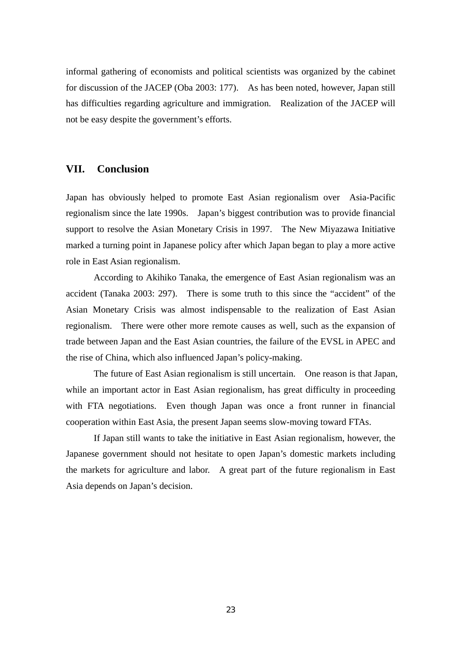informal gathering of economists and political scientists was organized by the cabinet for discussion of the JACEP (Oba 2003: 177). As has been noted, however, Japan still has difficulties regarding agriculture and immigration. Realization of the JACEP will not be easy despite the government's efforts.

## **VII. Conclusion**

Japan has obviously helped to promote East Asian regionalism over Asia-Pacific regionalism since the late 1990s. Japan's biggest contribution was to provide financial support to resolve the Asian Monetary Crisis in 1997. The New Miyazawa Initiative marked a turning point in Japanese policy after which Japan began to play a more active role in East Asian regionalism.

According to Akihiko Tanaka, the emergence of East Asian regionalism was an accident (Tanaka 2003: 297). There is some truth to this since the "accident" of the Asian Monetary Crisis was almost indispensable to the realization of East Asian regionalism. There were other more remote causes as well, such as the expansion of trade between Japan and the East Asian countries, the failure of the EVSL in APEC and the rise of China, which also influenced Japan's policy-making.

The future of East Asian regionalism is still uncertain. One reason is that Japan, while an important actor in East Asian regionalism, has great difficulty in proceeding with FTA negotiations. Even though Japan was once a front runner in financial cooperation within East Asia, the present Japan seems slow-moving toward FTAs.

If Japan still wants to take the initiative in East Asian regionalism, however, the Japanese government should not hesitate to open Japan's domestic markets including the markets for agriculture and labor. A great part of the future regionalism in East Asia depends on Japan's decision.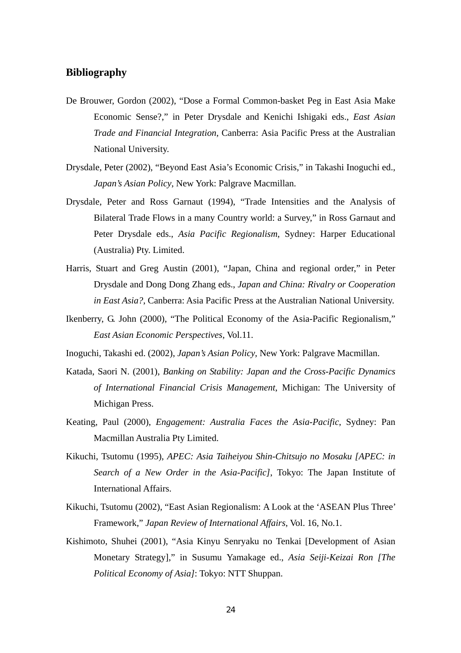## **Bibliography**

- De Brouwer, Gordon (2002), "Dose a Formal Common-basket Peg in East Asia Make Economic Sense?," in Peter Drysdale and Kenichi Ishigaki eds., *East Asian Trade and Financial Integration*, Canberra: Asia Pacific Press at the Australian National University.
- Drysdale, Peter (2002), "Beyond East Asia's Economic Crisis," in Takashi Inoguchi ed., *Japan's Asian Policy*, New York: Palgrave Macmillan.
- Drysdale, Peter and Ross Garnaut (1994), "Trade Intensities and the Analysis of Bilateral Trade Flows in a many Country world: a Survey," in Ross Garnaut and Peter Drysdale eds., *Asia Pacific Regionalism*, Sydney: Harper Educational (Australia) Pty. Limited.
- Harris, Stuart and Greg Austin (2001), "Japan, China and regional order," in Peter Drysdale and Dong Dong Zhang eds., *Japan and China: Rivalry or Cooperation in East Asia?*, Canberra: Asia Pacific Press at the Australian National University.
- Ikenberry, G. John (2000), "The Political Economy of the Asia-Pacific Regionalism," *East Asian Economic Perspectives*, Vol.11.
- Inoguchi, Takashi ed. (2002), *Japan's Asian Policy*, New York: Palgrave Macmillan.
- Katada, Saori N. (2001), *Banking on Stability: Japan and the Cross-Pacific Dynamics of International Financial Crisis Management*, Michigan: The University of Michigan Press.
- Keating, Paul (2000), *Engagement: Australia Faces the Asia-Pacific*, Sydney: Pan Macmillan Australia Pty Limited.
- Kikuchi, Tsutomu (1995), *APEC: Asia Taiheiyou Shin-Chitsujo no Mosaku [APEC: in Search of a New Order in the Asia-Pacific]*, Tokyo: The Japan Institute of International Affairs.
- Kikuchi, Tsutomu (2002), "East Asian Regionalism: A Look at the 'ASEAN Plus Three' Framework," *Japan Review of International Affairs*, Vol. 16, No.1.
- Kishimoto, Shuhei (2001), "Asia Kinyu Senryaku no Tenkai [Development of Asian Monetary Strategy]," in Susumu Yamakage ed., *Asia Seiji-Keizai Ron [The Political Economy of Asia]*: Tokyo: NTT Shuppan.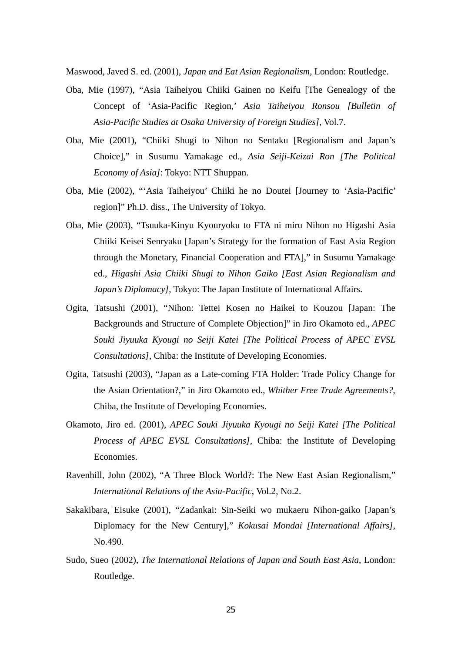Maswood, Javed S. ed. (2001), *Japan and Eat Asian Regionalism*, London: Routledge.

- Oba, Mie (1997), "Asia Taiheiyou Chiiki Gainen no Keifu [The Genealogy of the Concept of 'Asia-Pacific Region,' *Asia Taiheiyou Ronsou [Bulletin of Asia-Pacific Studies at Osaka University of Foreign Studies]*, Vol.7.
- Oba, Mie (2001), "Chiiki Shugi to Nihon no Sentaku [Regionalism and Japan's Choice]," in Susumu Yamakage ed., *Asia Seiji-Keizai Ron [The Political Economy of Asia]*: Tokyo: NTT Shuppan.
- Oba, Mie (2002), "'Asia Taiheiyou' Chiiki he no Doutei [Journey to 'Asia-Pacific' region]" Ph.D. diss., The University of Tokyo.
- Oba, Mie (2003), "Tsuuka-Kinyu Kyouryoku to FTA ni miru Nihon no Higashi Asia Chiiki Keisei Senryaku [Japan's Strategy for the formation of East Asia Region through the Monetary, Financial Cooperation and FTA]," in Susumu Yamakage ed., *Higashi Asia Chiiki Shugi to Nihon Gaiko [East Asian Regionalism and Japan's Diplomacy]*, Tokyo: The Japan Institute of International Affairs.
- Ogita, Tatsushi (2001), "Nihon: Tettei Kosen no Haikei to Kouzou [Japan: The Backgrounds and Structure of Complete Objection]" in Jiro Okamoto ed., *APEC Souki Jiyuuka Kyougi no Seiji Katei [The Political Process of APEC EVSL Consultations]*, Chiba: the Institute of Developing Economies.
- Ogita, Tatsushi (2003), "Japan as a Late-coming FTA Holder: Trade Policy Change for the Asian Orientation?," in Jiro Okamoto ed., *Whither Free Trade Agreements?*, Chiba, the Institute of Developing Economies.
- Okamoto, Jiro ed. (2001), *APEC Souki Jiyuuka Kyougi no Seiji Katei [The Political Process of APEC EVSL Consultations]*, Chiba: the Institute of Developing Economies.
- Ravenhill, John (2002), "A Three Block World?: The New East Asian Regionalism," *International Relations of the Asia-Pacific*, Vol.2, No.2.
- Sakakibara, Eisuke (2001), "Zadankai: Sin-Seiki wo mukaeru Nihon-gaiko [Japan's Diplomacy for the New Century]," *Kokusai Mondai [International Affairs]*, No.490.
- Sudo, Sueo (2002), *The International Relations of Japan and South East Asia*, London: Routledge.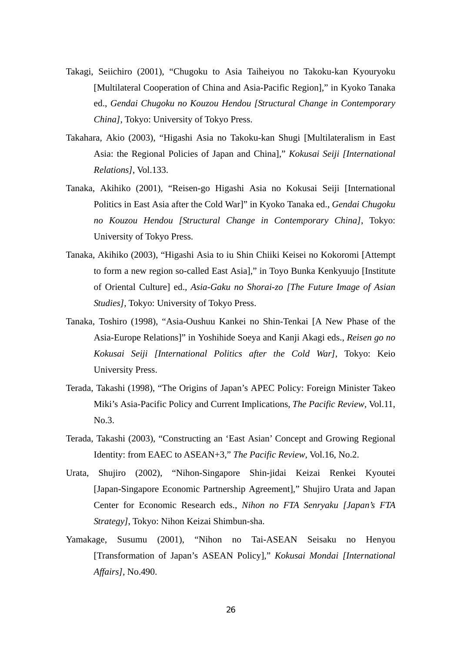- Takagi, Seiichiro (2001), "Chugoku to Asia Taiheiyou no Takoku-kan Kyouryoku [Multilateral Cooperation of China and Asia-Pacific Region]," in Kyoko Tanaka ed., *Gendai Chugoku no Kouzou Hendou [Structural Change in Contemporary China]*, Tokyo: University of Tokyo Press.
- Takahara, Akio (2003), "Higashi Asia no Takoku-kan Shugi [Multilateralism in East Asia: the Regional Policies of Japan and China]," *Kokusai Seiji [International Relations]*, Vol.133.
- Tanaka, Akihiko (2001), "Reisen-go Higashi Asia no Kokusai Seiji [International Politics in East Asia after the Cold War]" in Kyoko Tanaka ed., *Gendai Chugoku no Kouzou Hendou [Structural Change in Contemporary China]*, Tokyo: University of Tokyo Press.
- Tanaka, Akihiko (2003), "Higashi Asia to iu Shin Chiiki Keisei no Kokoromi [Attempt to form a new region so-called East Asia]," in Toyo Bunka Kenkyuujo [Institute of Oriental Culture] ed., *Asia-Gaku no Shorai-zo [The Future Image of Asian Studies]*, Tokyo: University of Tokyo Press.
- Tanaka, Toshiro (1998), "Asia-Oushuu Kankei no Shin-Tenkai [A New Phase of the Asia-Europe Relations]" in Yoshihide Soeya and Kanji Akagi eds., *Reisen go no Kokusai Seiji [International Politics after the Cold War]*, Tokyo: Keio University Press.
- Terada, Takashi (1998), "The Origins of Japan's APEC Policy: Foreign Minister Takeo Miki's Asia-Pacific Policy and Current Implications, *The Pacific Review*, Vol.11, No.3.
- Terada, Takashi (2003), "Constructing an 'East Asian' Concept and Growing Regional Identity: from EAEC to ASEAN+3," *The Pacific Review*, Vol.16, No.2.
- Urata, Shujiro (2002), "Nihon-Singapore Shin-jidai Keizai Renkei Kyoutei [Japan-Singapore Economic Partnership Agreement]," Shujiro Urata and Japan Center for Economic Research eds., *Nihon no FTA Senryaku [Japan's FTA Strategy]*, Tokyo: Nihon Keizai Shimbun-sha.
- Yamakage, Susumu (2001), "Nihon no Tai-ASEAN Seisaku no Henyou [Transformation of Japan's ASEAN Policy]," *Kokusai Mondai [International Affairs]*, No.490.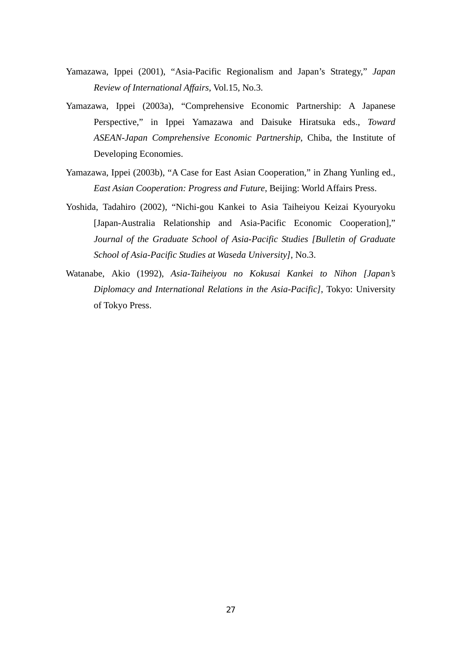- Yamazawa, Ippei (2001), "Asia-Pacific Regionalism and Japan's Strategy," *Japan Review of International Affairs*, Vol.15, No.3.
- Yamazawa, Ippei (2003a), "Comprehensive Economic Partnership: A Japanese Perspective," in Ippei Yamazawa and Daisuke Hiratsuka eds., *Toward ASEAN-Japan Comprehensive Economic Partnership*, Chiba, the Institute of Developing Economies.
- Yamazawa, Ippei (2003b), "A Case for East Asian Cooperation," in Zhang Yunling ed., *East Asian Cooperation: Progress and Future*, Beijing: World Affairs Press.
- Yoshida, Tadahiro (2002), "Nichi-gou Kankei to Asia Taiheiyou Keizai Kyouryoku [Japan-Australia Relationship and Asia-Pacific Economic Cooperation]," *Journal of the Graduate School of Asia-Pacific Studies [Bulletin of Graduate School of Asia-Pacific Studies at Waseda University]*, No.3.
- Watanabe, Akio (1992), *Asia-Taiheiyou no Kokusai Kankei to Nihon [Japan's Diplomacy and International Relations in the Asia-Pacific]*, Tokyo: University of Tokyo Press.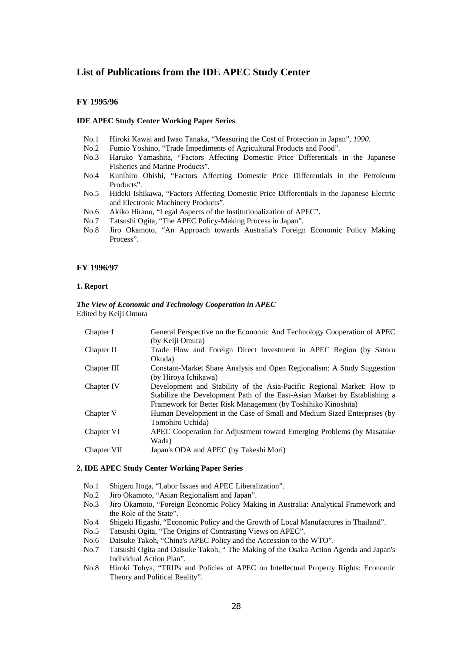## **List of Publications from the IDE APEC Study Center**

#### **FY 1995/96**

#### **IDE APEC Study Center Working Paper Series**

- No.1 Hiroki Kawai and Iwao Tanaka, "Measuring the Cost of Protection in Japan"*, 1990*.
- No.2 Fumio Yoshino, "Trade Impediments of Agricultural Products and Food".
- No.3 Haruko Yamashita, "Factors Affecting Domestic Price Differentials in the Japanese Fisheries and Marine Products".
- No.4 Kunihiro Ohishi, "Factors Affecting Domestic Price Differentials in the Petroleum Products".
- No.5 Hideki Ishikawa, "Factors Affecting Domestic Price Differentials in the Japanese Electric and Electronic Machinery Products".
- No.6 Akiko Hirano, "Legal Aspects of the Institutionalization of APEC".
- No.7 Tatsushi Ogita, "The APEC Policy-Making Process in Japan".
- No.8 Jiro Okamoto, "An Approach towards Australia's Foreign Economic Policy Making Process".

#### **FY 1996/97**

#### **1. Report**

#### *The View of Economic and Technology Cooperation in APEC*  Edited by Keiji Omura

| Chapter I   | General Perspective on the Economic And Technology Cooperation of APEC    |
|-------------|---------------------------------------------------------------------------|
|             | (by Keiji Omura)                                                          |
| Chapter II  | Trade Flow and Foreign Direct Investment in APEC Region (by Satoru        |
|             | Okuda)                                                                    |
| Chapter III | Constant-Market Share Analysis and Open Regionalism: A Study Suggestion   |
|             | (by Hiroya Ichikawa)                                                      |
| Chapter IV  | Development and Stability of the Asia-Pacific Regional Market: How to     |
|             | Stabilize the Development Path of the East-Asian Market by Establishing a |
|             | Framework for Better Risk Management (by Toshihiko Kinoshita)             |
| Chapter V   | Human Development in the Case of Small and Medium Sized Enterprises (by   |
|             | Tomohiro Uchida)                                                          |
| Chapter VI  | APEC Cooperation for Adjustment toward Emerging Problems (by Masatake)    |
|             | Wada)                                                                     |
| Chapter VII | Japan's ODA and APEC (by Takeshi Mori)                                    |
|             |                                                                           |

#### **2. IDE APEC Study Center Working Paper Series**

- No.1 Shigeru Itoga, "Labor Issues and APEC Liberalization".
- No.2 Jiro Okamoto, "Asian Regionalism and Japan".
- No.3 Jiro Okamoto, "Foreign Economic Policy Making in Australia: Analytical Framework and the Role of the State".
- No.4 Shigeki Higashi, "Economic Policy and the Growth of Local Manufactures in Thailand".
- No.5 Tatsushi Ogita, "The Origins of Contrasting Views on APEC".
- No.6 Daisuke Takoh, "China's APEC Policy and the Accession to the WTO".
- No.7 Tatsushi Ogita and Daisuke Takoh, " The Making of the Osaka Action Agenda and Japan's Individual Action Plan".
- No.8 Hiroki Tohya, "TRIPs and Policies of APEC on Intellectual Property Rights: Economic Theory and Political Reality".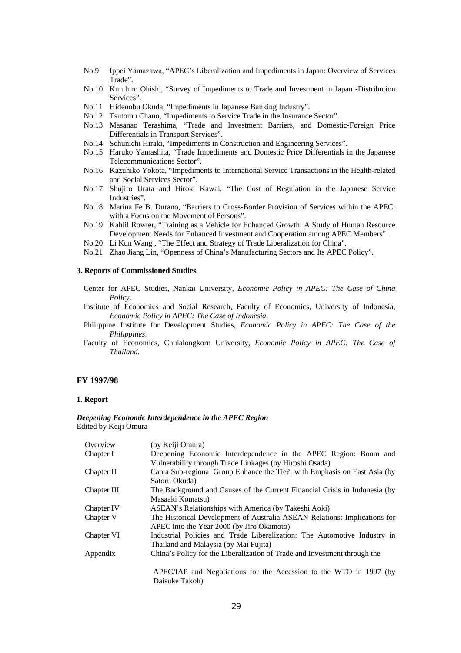- No.9 Ippei Yamazawa, "APEC's Liberalization and Impediments in Japan: Overview of Services Trade".
- No.10 Kunihiro Ohishi, "Survey of Impediments to Trade and Investment in Japan -Distribution Services".
- No.11 Hidenobu Okuda, "Impediments in Japanese Banking Industry".
- No.12 Tsutomu Chano, "Impediments to Service Trade in the Insurance Sector".
- No.13 Masanao Terashima, "Trade and Investment Barriers, and Domestic-Foreign Price Differentials in Transport Services".
- No.14 Schunichi Hiraki, "Impediments in Construction and Engineering Services".
- No.15 Haruko Yamashita, "Trade Impediments and Domestic Price Differentials in the Japanese Telecommunications Sector".
- No.16 Kazuhiko Yokota, "Impediments to International Service Transactions in the Health-related and Social Services Sector".
- No.17 Shujiro Urata and Hiroki Kawai, "The Cost of Regulation in the Japanese Service Industries".
- No.18 Marina Fe B. Durano, "Barriers to Cross-Border Provision of Services within the APEC: with a Focus on the Movement of Persons".
- No.19 Kahlil Rowter, "Training as a Vehicle for Enhanced Growth: A Study of Human Resource Development Needs for Enhanced Investment and Cooperation among APEC Members".
- No.20 Li Kun Wang , "The Effect and Strategy of Trade Liberalization for China".
- No.21 Zhao Jiang Lin, "Openness of China's Manufacturing Sectors and Its APEC Policy".

## **3. Reports of Commissioned Studies**

- Center for APEC Studies, Nankai University, *Economic Policy in APEC: The Case of China Policy*.
- Institute of Economics and Social Research, Faculty of Economics, University of Indonesia, *Economic Policy in APEC: The Case of Indonesia*.
- Philippine Institute for Development Studies, *Economic Policy in APEC: The Case of the Philippines*.
- Faculty of Economics, Chulalongkorn University, *Economic Policy in APEC: The Case of Thailand*.

#### **FY 1997/98**

#### **1. Report**

#### *Deepening Economic Interdependence in the APEC Region*  Edited by Keiji Omura

| Overview    | (by Keiji Omura)                                                           |
|-------------|----------------------------------------------------------------------------|
| Chapter I   | Deepening Economic Interdependence in the APEC Region: Boom and            |
|             | Vulnerability through Trade Linkages (by Hiroshi Osada)                    |
| Chapter II  | Can a Sub-regional Group Enhance the Tie?: with Emphasis on East Asia (by  |
|             | Satoru Okuda)                                                              |
| Chapter III | The Background and Causes of the Current Financial Crisis in Indonesia (by |
|             | Masaaki Komatsu)                                                           |
| Chapter IV  | ASEAN's Relationships with America (by Takeshi Aoki)                       |
| Chapter V   | The Historical Development of Australia-ASEAN Relations: Implications for  |
|             | APEC into the Year 2000 (by Jiro Okamoto)                                  |
| Chapter VI  | Industrial Policies and Trade Liberalization: The Automotive Industry in   |
|             | Thailand and Malaysia (by Mai Fujita)                                      |
| Appendix    | China's Policy for the Liberalization of Trade and Investment through the  |
|             | APEC/IAP and Negotiations for the Accession to the WTO in 1997 (by         |
|             | Daisuke Takoh)                                                             |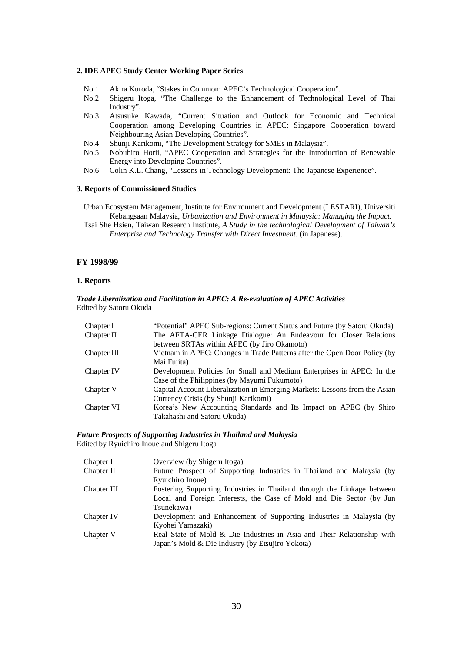#### **2. IDE APEC Study Center Working Paper Series**

- No.1 Akira Kuroda, "Stakes in Common: APEC's Technological Cooperation".
- No.2 Shigeru Itoga, "The Challenge to the Enhancement of Technological Level of Thai Industry".
- No.3 Atsusuke Kawada, "Current Situation and Outlook for Economic and Technical Cooperation among Developing Countries in APEC: Singapore Cooperation toward Neighbouring Asian Developing Countries".
- No.4 Shunji Karikomi, "The Development Strategy for SMEs in Malaysia".
- No.5 Nobuhiro Horii, "APEC Cooperation and Strategies for the Introduction of Renewable Energy into Developing Countries".
- No.6 Colin K.L. Chang, "Lessons in Technology Development: The Japanese Experience".

#### **3. Reports of Commissioned Studies**

Urban Ecosystem Management, Institute for Environment and Development (LESTARI), Universiti Kebangsaan Malaysia, *Urbanization and Environment in Malaysia: Managing the Impact*.

Tsai She Hsien, Taiwan Research Institute, *A Study in the technological Development of Taiwan's Enterprise and Technology Transfer with Direct Investment*. (in Japanese).

#### **FY 1998/99**

#### **1. Reports**

#### *Trade Liberalization and Facilitation in APEC: A Re-evaluation of APEC Activities*  Edited by Satoru Okuda

| Chapter I   | "Potential" APEC Sub-regions: Current Status and Future (by Satoru Okuda)  |
|-------------|----------------------------------------------------------------------------|
| Chapter II  | The AFTA-CER Linkage Dialogue: An Endeavour for Closer Relations           |
|             | between SRTAs within APEC (by Jiro Okamoto)                                |
| Chapter III | Vietnam in APEC: Changes in Trade Patterns after the Open Door Policy (by  |
|             | Mai Fujita)                                                                |
| Chapter IV  | Development Policies for Small and Medium Enterprises in APEC: In the      |
|             | Case of the Philippines (by Mayumi Fukumoto)                               |
| Chapter V   | Capital Account Liberalization in Emerging Markets: Lessons from the Asian |
|             | Currency Crisis (by Shunji Karikomi)                                       |
| Chapter VI  | Korea's New Accounting Standards and Its Impact on APEC (by Shiro          |
|             | Takahashi and Satoru Okuda)                                                |

#### *Future Prospects of Supporting Industries in Thailand and Malaysia*  Edited by Ryuichiro Inoue and Shigeru Itoga

| Chapter I   | Overview (by Shigeru Itoga)                                             |
|-------------|-------------------------------------------------------------------------|
| Chapter II  | Future Prospect of Supporting Industries in Thailand and Malaysia (by   |
|             | Ryuichiro Inoue)                                                        |
| Chapter III | Fostering Supporting Industries in Thailand through the Linkage between |
|             | Local and Foreign Interests, the Case of Mold and Die Sector (by Jun    |
|             | Tsunekawa)                                                              |
| Chapter IV  | Development and Enhancement of Supporting Industries in Malaysia (by    |
|             | Kyohei Yamazaki)                                                        |
| Chapter V   | Real State of Mold & Die Industries in Asia and Their Relationship with |
|             | Japan's Mold & Die Industry (by Etsujiro Yokota)                        |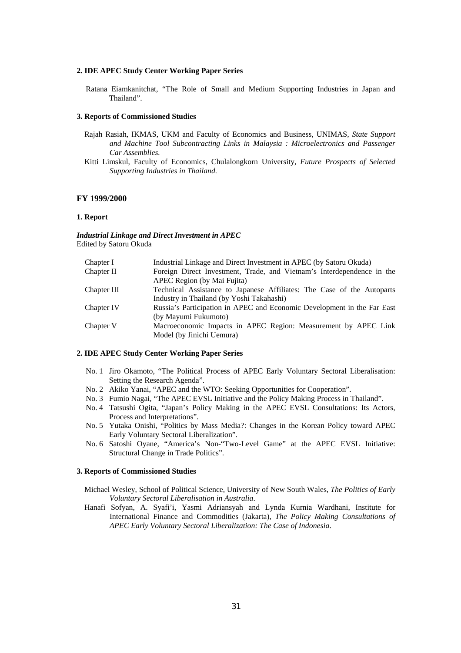#### **2. IDE APEC Study Center Working Paper Series**

Ratana Eiamkanitchat, "The Role of Small and Medium Supporting Industries in Japan and Thailand".

#### **3. Reports of Commissioned Studies**

- Rajah Rasiah, IKMAS, UKM and Faculty of Economics and Business, UNIMAS*, State Support and Machine Tool Subcontracting Links in Malaysia : Microelectronics and Passenger Car Assemblies.*
- Kitti Limskul, Faculty of Economics, Chulalongkorn University*, Future Prospects of Selected Supporting Industries in Thailand.*

#### **FY 1999/2000**

#### **1. Report**

*Industrial Linkage and Direct Investment in APEC*  Edited by Satoru Okuda

| Chapter I   | Industrial Linkage and Direct Investment in APEC (by Satoru Okuda)      |
|-------------|-------------------------------------------------------------------------|
| Chapter II  | Foreign Direct Investment, Trade, and Vietnam's Interdependence in the  |
|             | APEC Region (by Mai Fujita)                                             |
| Chapter III | Technical Assistance to Japanese Affiliates: The Case of the Autoparts  |
|             | Industry in Thailand (by Yoshi Takahashi)                               |
| Chapter IV  | Russia's Participation in APEC and Economic Development in the Far East |
|             | (by Mayumi Fukumoto)                                                    |
| Chapter V   | Macroeconomic Impacts in APEC Region: Measurement by APEC Link          |
|             | Model (by Jinichi Uemura)                                               |
|             |                                                                         |

#### **2. IDE APEC Study Center Working Paper Series**

- No. 1 Jiro Okamoto, "The Political Process of APEC Early Voluntary Sectoral Liberalisation: Setting the Research Agenda".
- No. 2 Akiko Yanai, "APEC and the WTO: Seeking Opportunities for Cooperation".
- No. 3 Fumio Nagai, "The APEC EVSL Initiative and the Policy Making Process in Thailand".
- No. 4 Tatsushi Ogita, "Japan's Policy Making in the APEC EVSL Consultations: Its Actors, Process and Interpretations".
- No. 5 Yutaka Onishi, "Politics by Mass Media?: Changes in the Korean Policy toward APEC Early Voluntary Sectoral Liberalization".
- No. 6 Satoshi Oyane, "America's Non-"Two-Level Game" at the APEC EVSL Initiative: Structural Change in Trade Politics".

#### **3. Reports of Commissioned Studies**

- Michael Wesley, School of Political Science, University of New South Wales, *The Politics of Early Voluntary Sectoral Liberalisation in Australia*.
- Hanafi Sofyan, A. Syafi'i, Yasmi Adriansyah and Lynda Kurnia Wardhani, Institute for International Finance and Commodities (Jakarta), *The Policy Making Consultations of APEC Early Voluntary Sectoral Liberalization: The Case of Indonesia*.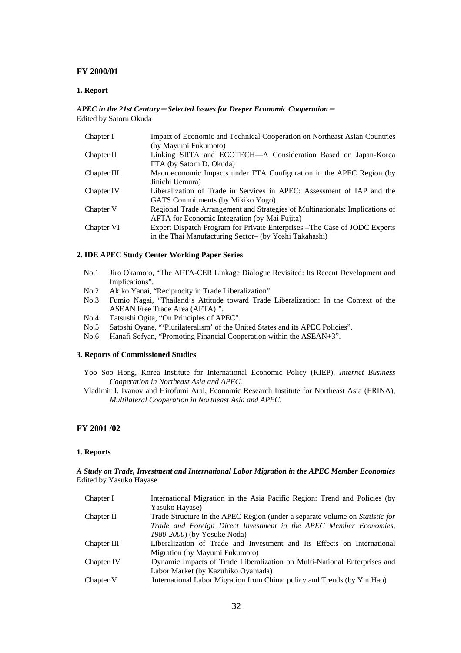#### **FY 2000/01**

#### **1. Report**

#### *APEC in the 21st Century*-*Selected Issues for Deeper Economic Cooperation*- Edited by Satoru Okuda

| Chapter I   | Impact of Economic and Technical Cooperation on Northeast Asian Countries    |
|-------------|------------------------------------------------------------------------------|
|             | (by Mayumi Fukumoto)                                                         |
| Chapter II  | Linking SRTA and ECOTECH—A Consideration Based on Japan-Korea                |
|             | FTA (by Satoru D. Okuda)                                                     |
| Chapter III | Macroeconomic Impacts under FTA Configuration in the APEC Region (by         |
|             | Jinichi Uemura)                                                              |
| Chapter IV  | Liberalization of Trade in Services in APEC: Assessment of IAP and the       |
|             | GATS Commitments (by Mikiko Yogo)                                            |
| Chapter V   | Regional Trade Arrangement and Strategies of Multinationals: Implications of |
|             | <b>AFTA</b> for Economic Integration (by Mai Fujita)                         |
| Chapter VI  | Expert Dispatch Program for Private Enterprises – The Case of JODC Experts   |
|             | in the Thai Manufacturing Sector- (by Yoshi Takahashi)                       |

#### **2. IDE APEC Study Center Working Paper Series**

- No.1 Jiro Okamoto, "The AFTA-CER Linkage Dialogue Revisited: Its Recent Development and Implications".
- No.2 Akiko Yanai, "Reciprocity in Trade Liberalization".
- No.3 Fumio Nagai, "Thailand's Attitude toward Trade Liberalization: In the Context of the ASEAN Free Trade Area (AFTA) ".
- No.4 Tatsushi Ogita, "On Principles of APEC".
- No.5 Satoshi Oyane, "'Plurilateralism' of the United States and its APEC Policies".
- No.6 Hanafi Sofyan, "Promoting Financial Cooperation within the ASEAN+3".

#### **3. Reports of Commissioned Studies**

- Yoo Soo Hong, Korea Institute for International Economic Policy (KIEP), *Internet Business Cooperation in Northeast Asia and APEC*.
- Vladimir I. Ivanov and Hirofumi Arai, Economic Research Institute for Northeast Asia (ERINA), *Multilateral Cooperation in Northeast Asia and APEC*.

## **FY 2001 /02**

#### **1. Reports**

#### *A Study on Trade, Investment and International Labor Migration in the APEC Member Economies*  Edited by Yasuko Hayase

| Chapter I   | International Migration in the Asia Pacific Region: Trend and Policies (by          |
|-------------|-------------------------------------------------------------------------------------|
|             | Yasuko Hayase)                                                                      |
| Chapter II  | Trade Structure in the APEC Region (under a separate volume on <i>Statistic for</i> |
|             | Trade and Foreign Direct Investment in the APEC Member Economies,                   |
|             | 1980-2000) (by Yosuke Noda)                                                         |
| Chapter III | Liberalization of Trade and Investment and Its Effects on International             |
|             | Migration (by Mayumi Fukumoto)                                                      |
| Chapter IV  | Dynamic Impacts of Trade Liberalization on Multi-National Enterprises and           |
|             | Labor Market (by Kazuhiko Oyamada)                                                  |
| Chapter V   | International Labor Migration from China: policy and Trends (by Yin Hao)            |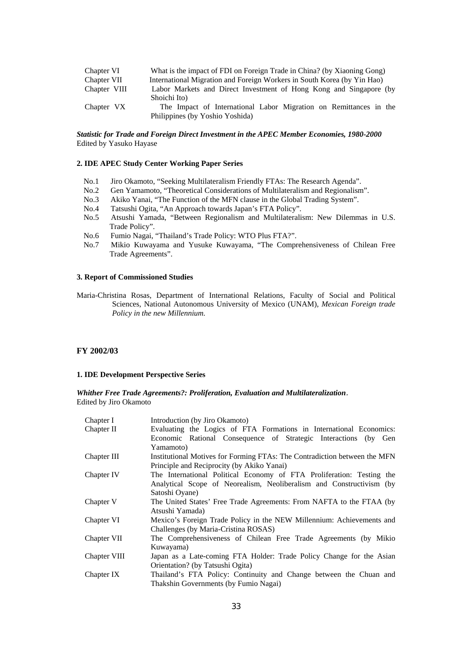| Chapter VI   | What is the impact of FDI on Foreign Trade in China? (by Xiaoning Gong) |
|--------------|-------------------------------------------------------------------------|
| Chapter VII  | International Migration and Foreign Workers in South Korea (by Yin Hao) |
| Chapter VIII | Labor Markets and Direct Investment of Hong Kong and Singapore (by      |
|              | Shoichi Ito)                                                            |
| Chapter VX   | The Impact of International Labor Migration on Remittances in the       |
|              | Philippines (by Yoshio Yoshida)                                         |

#### *Statistic for Trade and Foreign Direct Investment in the APEC Member Economies, 1980-2000*  Edited by Yasuko Hayase

#### **2. IDE APEC Study Center Working Paper Series**

- No.1 Jiro Okamoto, "Seeking Multilateralism Friendly FTAs: The Research Agenda".
- No.2 Gen Yamamoto, "Theoretical Considerations of Multilateralism and Regionalism".
- No.3 Akiko Yanai, "The Function of the MFN clause in the Global Trading System".
- No.4 Tatsushi Ogita, "An Approach towards Japan's FTA Policy".
- No.5 Atsushi Yamada, "Between Regionalism and Multilateralism: New Dilemmas in U.S. Trade Policy".
- No.6 Fumio Nagai, "Thailand's Trade Policy: WTO Plus FTA?".
- No.7 Mikio Kuwayama and Yusuke Kuwayama, "The Comprehensiveness of Chilean Free Trade Agreements".

#### **3. Report of Commissioned Studies**

Maria-Christina Rosas, Department of International Relations, Faculty of Social and Political Sciences, National Autonomous University of Mexico (UNAM), *Mexican Foreign trade Policy in the new Millennium.*

#### **FY 2002/03**

#### **1. IDE Development Perspective Series**

*Whither Free Trade Agreements?: Proliferation, Evaluation and Multilateralization*. Edited by Jiro Okamoto

| Chapter I    | Introduction (by Jiro Okamoto)                                            |
|--------------|---------------------------------------------------------------------------|
| Chapter II   | Evaluating the Logics of FTA Formations in International Economics:       |
|              | Economic Rational Consequence of Strategic Interactions (by Gen           |
|              | Yamamoto)                                                                 |
| Chapter III  | Institutional Motives for Forming FTAs: The Contradiction between the MFN |
|              | Principle and Reciprocity (by Akiko Yanai)                                |
| Chapter IV   | The International Political Economy of FTA Proliferation: Testing the     |
|              | Analytical Scope of Neorealism, Neoliberalism and Constructivism (by      |
|              | Satoshi Oyane)                                                            |
| Chapter V    | The United States' Free Trade Agreements: From NAFTA to the FTAA (by      |
|              | Atsushi Yamada)                                                           |
| Chapter VI   | Mexico's Foreign Trade Policy in the NEW Millennium: Achievements and     |
|              | Challenges (by Maria-Cristina ROSAS)                                      |
| Chapter VII  | The Comprehensiveness of Chilean Free Trade Agreements (by Mikio          |
|              | Kuwayama)                                                                 |
| Chapter VIII | Japan as a Late-coming FTA Holder: Trade Policy Change for the Asian      |
|              | Orientation? (by Tatsushi Ogita)                                          |
| Chapter IX   | Thailand's FTA Policy: Continuity and Change between the Chuan and        |
|              | Thakshin Governments (by Fumio Nagai)                                     |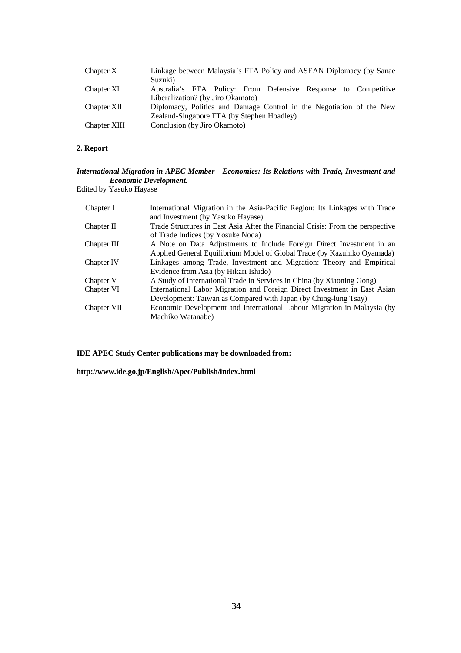| Chapter X    | Linkage between Malaysia's FTA Policy and ASEAN Diplomacy (by Sanae<br>Suzuki)                      |
|--------------|-----------------------------------------------------------------------------------------------------|
| Chapter XI   | Australia's FTA Policy: From Defensive Response to Competitive<br>Liberalization? (by Jiro Okamoto) |
| Chapter XII  | Diplomacy, Politics and Damage Control in the Negotiation of the New                                |
|              | Zealand-Singapore FTA (by Stephen Hoadley)                                                          |
| Chapter XIII | Conclusion (by Jiro Okamoto)                                                                        |

## **2. Report**

## *International Migration in APEC Member Economies: Its Relations with Trade, Investment and Economic Development.*

Edited by Yasuko Hayase

| Chapter I   | International Migration in the Asia-Pacific Region: Its Linkages with Trade    |
|-------------|--------------------------------------------------------------------------------|
|             | and Investment (by Yasuko Hayase)                                              |
| Chapter II  | Trade Structures in East Asia After the Financial Crisis: From the perspective |
|             | of Trade Indices (by Yosuke Noda)                                              |
| Chapter III | A Note on Data Adjustments to Include Foreign Direct Investment in an          |
|             | Applied General Equilibrium Model of Global Trade (by Kazuhiko Oyamada)        |
| Chapter IV  | Linkages among Trade, Investment and Migration: Theory and Empirical           |
|             | Evidence from Asia (by Hikari Ishido)                                          |
| Chapter V   | A Study of International Trade in Services in China (by Xiaoning Gong)         |
| Chapter VI  | International Labor Migration and Foreign Direct Investment in East Asian      |
|             | Development: Taiwan as Compared with Japan (by Ching-lung Tsay)                |
| Chapter VII | Economic Development and International Labour Migration in Malaysia (by        |
|             | Machiko Watanabe)                                                              |

**IDE APEC Study Center publications may be downloaded from:** 

**http://www.ide.go.jp/English/Apec/Publish/index.html**